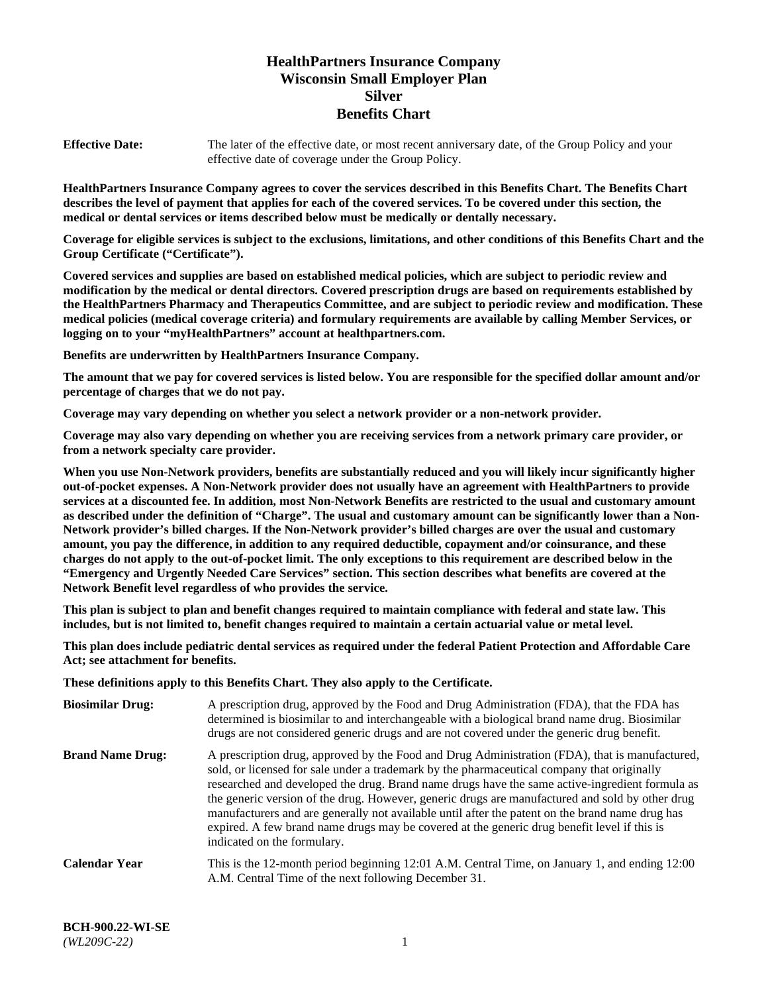# **HealthPartners Insurance Company Wisconsin Small Employer Plan Silver Benefits Chart**

**Effective Date:** The later of the effective date, or most recent anniversary date, of the Group Policy and your effective date of coverage under the Group Policy.

**HealthPartners Insurance Company agrees to cover the services described in this Benefits Chart. The Benefits Chart describes the level of payment that applies for each of the covered services. To be covered under this section, the medical or dental services or items described below must be medically or dentally necessary.**

**Coverage for eligible services is subject to the exclusions, limitations, and other conditions of this Benefits Chart and the Group Certificate ("Certificate").**

**Covered services and supplies are based on established medical policies, which are subject to periodic review and modification by the medical or dental directors. Covered prescription drugs are based on requirements established by the HealthPartners Pharmacy and Therapeutics Committee, and are subject to periodic review and modification. These medical policies (medical coverage criteria) and formulary requirements are available by calling Member Services, or logging on to your "myHealthPartners" account at [healthpartners.com.](https://www.healthpartners.com/hp/index.html)** 

**Benefits are underwritten by HealthPartners Insurance Company.**

**The amount that we pay for covered services is listed below. You are responsible for the specified dollar amount and/or percentage of charges that we do not pay.**

**Coverage may vary depending on whether you select a network provider or a non-network provider.**

**Coverage may also vary depending on whether you are receiving services from a network primary care provider, or from a network specialty care provider.**

**When you use Non-Network providers, benefits are substantially reduced and you will likely incur significantly higher out-of-pocket expenses. A Non-Network provider does not usually have an agreement with HealthPartners to provide services at a discounted fee. In addition, most Non-Network Benefits are restricted to the usual and customary amount as described under the definition of "Charge". The usual and customary amount can be significantly lower than a Non-Network provider's billed charges. If the Non-Network provider's billed charges are over the usual and customary amount, you pay the difference, in addition to any required deductible, copayment and/or coinsurance, and these charges do not apply to the out-of-pocket limit. The only exceptions to this requirement are described below in the "Emergency and Urgently Needed Care Services" section. This section describes what benefits are covered at the Network Benefit level regardless of who provides the service.**

**This plan is subject to plan and benefit changes required to maintain compliance with federal and state law. This includes, but is not limited to, benefit changes required to maintain a certain actuarial value or metal level.**

**This plan does include pediatric dental services as required under the federal Patient Protection and Affordable Care Act; see attachment for benefits.**

**These definitions apply to this Benefits Chart. They also apply to the Certificate.**

| <b>Biosimilar Drug:</b> | A prescription drug, approved by the Food and Drug Administration (FDA), that the FDA has<br>determined is biosimilar to and interchangeable with a biological brand name drug. Biosimilar<br>drugs are not considered generic drugs and are not covered under the generic drug benefit.                                                                                                                                                                                                                                                                                                                                           |
|-------------------------|------------------------------------------------------------------------------------------------------------------------------------------------------------------------------------------------------------------------------------------------------------------------------------------------------------------------------------------------------------------------------------------------------------------------------------------------------------------------------------------------------------------------------------------------------------------------------------------------------------------------------------|
| <b>Brand Name Drug:</b> | A prescription drug, approved by the Food and Drug Administration (FDA), that is manufactured,<br>sold, or licensed for sale under a trademark by the pharmaceutical company that originally<br>researched and developed the drug. Brand name drugs have the same active-ingredient formula as<br>the generic version of the drug. However, generic drugs are manufactured and sold by other drug<br>manufacturers and are generally not available until after the patent on the brand name drug has<br>expired. A few brand name drugs may be covered at the generic drug benefit level if this is<br>indicated on the formulary. |
| Calendar Year           | This is the 12-month period beginning 12:01 A.M. Central Time, on January 1, and ending 12:00<br>A.M. Central Time of the next following December 31.                                                                                                                                                                                                                                                                                                                                                                                                                                                                              |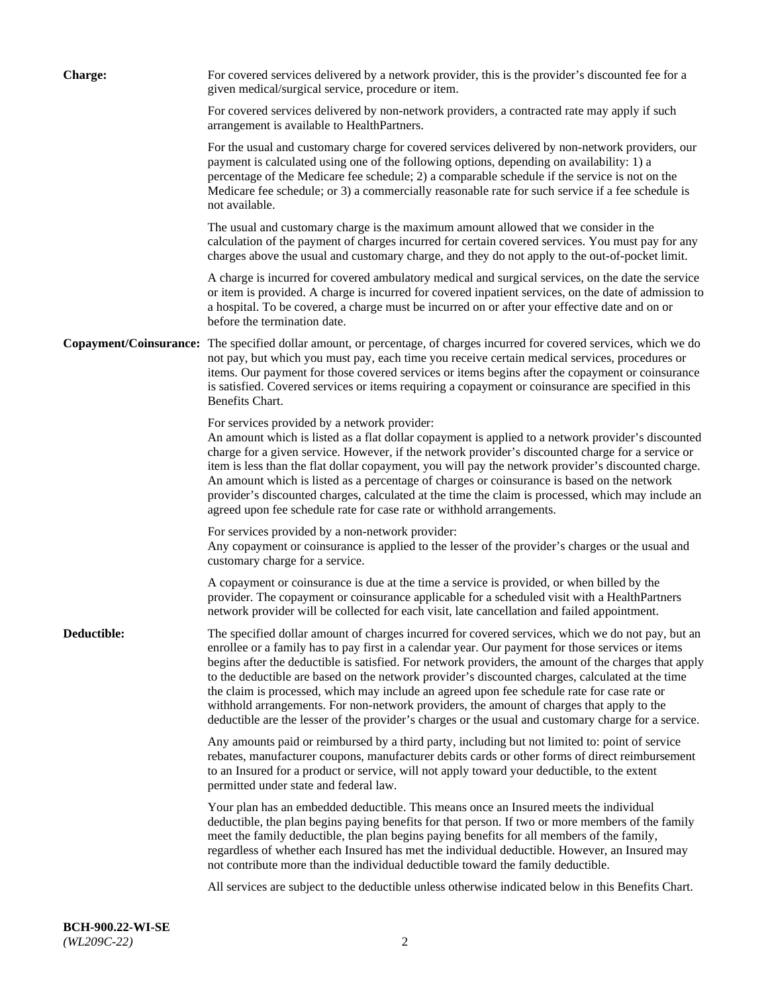| <b>Charge:</b> | For covered services delivered by a network provider, this is the provider's discounted fee for a<br>given medical/surgical service, procedure or item.                                                                                                                                                                                                                                                                                                                                                                                                                                                                                                                                                                 |
|----------------|-------------------------------------------------------------------------------------------------------------------------------------------------------------------------------------------------------------------------------------------------------------------------------------------------------------------------------------------------------------------------------------------------------------------------------------------------------------------------------------------------------------------------------------------------------------------------------------------------------------------------------------------------------------------------------------------------------------------------|
|                | For covered services delivered by non-network providers, a contracted rate may apply if such<br>arrangement is available to HealthPartners.                                                                                                                                                                                                                                                                                                                                                                                                                                                                                                                                                                             |
|                | For the usual and customary charge for covered services delivered by non-network providers, our<br>payment is calculated using one of the following options, depending on availability: 1) a<br>percentage of the Medicare fee schedule; 2) a comparable schedule if the service is not on the<br>Medicare fee schedule; or 3) a commercially reasonable rate for such service if a fee schedule is<br>not available.                                                                                                                                                                                                                                                                                                   |
|                | The usual and customary charge is the maximum amount allowed that we consider in the<br>calculation of the payment of charges incurred for certain covered services. You must pay for any<br>charges above the usual and customary charge, and they do not apply to the out-of-pocket limit.                                                                                                                                                                                                                                                                                                                                                                                                                            |
|                | A charge is incurred for covered ambulatory medical and surgical services, on the date the service<br>or item is provided. A charge is incurred for covered inpatient services, on the date of admission to<br>a hospital. To be covered, a charge must be incurred on or after your effective date and on or<br>before the termination date.                                                                                                                                                                                                                                                                                                                                                                           |
|                | Copayment/Coinsurance: The specified dollar amount, or percentage, of charges incurred for covered services, which we do<br>not pay, but which you must pay, each time you receive certain medical services, procedures or<br>items. Our payment for those covered services or items begins after the copayment or coinsurance<br>is satisfied. Covered services or items requiring a copayment or coinsurance are specified in this<br>Benefits Chart.                                                                                                                                                                                                                                                                 |
|                | For services provided by a network provider:<br>An amount which is listed as a flat dollar copayment is applied to a network provider's discounted<br>charge for a given service. However, if the network provider's discounted charge for a service or<br>item is less than the flat dollar copayment, you will pay the network provider's discounted charge.<br>An amount which is listed as a percentage of charges or coinsurance is based on the network<br>provider's discounted charges, calculated at the time the claim is processed, which may include an<br>agreed upon fee schedule rate for case rate or withhold arrangements.                                                                            |
|                | For services provided by a non-network provider:<br>Any copayment or coinsurance is applied to the lesser of the provider's charges or the usual and<br>customary charge for a service.                                                                                                                                                                                                                                                                                                                                                                                                                                                                                                                                 |
|                | A copayment or coinsurance is due at the time a service is provided, or when billed by the<br>provider. The copayment or coinsurance applicable for a scheduled visit with a HealthPartners<br>network provider will be collected for each visit, late cancellation and failed appointment.                                                                                                                                                                                                                                                                                                                                                                                                                             |
| Deductible:    | The specified dollar amount of charges incurred for covered services, which we do not pay, but an<br>enrollee or a family has to pay first in a calendar year. Our payment for those services or items<br>begins after the deductible is satisfied. For network providers, the amount of the charges that apply<br>to the deductible are based on the network provider's discounted charges, calculated at the time<br>the claim is processed, which may include an agreed upon fee schedule rate for case rate or<br>withhold arrangements. For non-network providers, the amount of charges that apply to the<br>deductible are the lesser of the provider's charges or the usual and customary charge for a service. |
|                | Any amounts paid or reimbursed by a third party, including but not limited to: point of service<br>rebates, manufacturer coupons, manufacturer debits cards or other forms of direct reimbursement<br>to an Insured for a product or service, will not apply toward your deductible, to the extent<br>permitted under state and federal law.                                                                                                                                                                                                                                                                                                                                                                            |
|                | Your plan has an embedded deductible. This means once an Insured meets the individual<br>deductible, the plan begins paying benefits for that person. If two or more members of the family<br>meet the family deductible, the plan begins paying benefits for all members of the family,<br>regardless of whether each Insured has met the individual deductible. However, an Insured may<br>not contribute more than the individual deductible toward the family deductible.                                                                                                                                                                                                                                           |
|                | All services are subject to the deductible unless otherwise indicated below in this Benefits Chart.                                                                                                                                                                                                                                                                                                                                                                                                                                                                                                                                                                                                                     |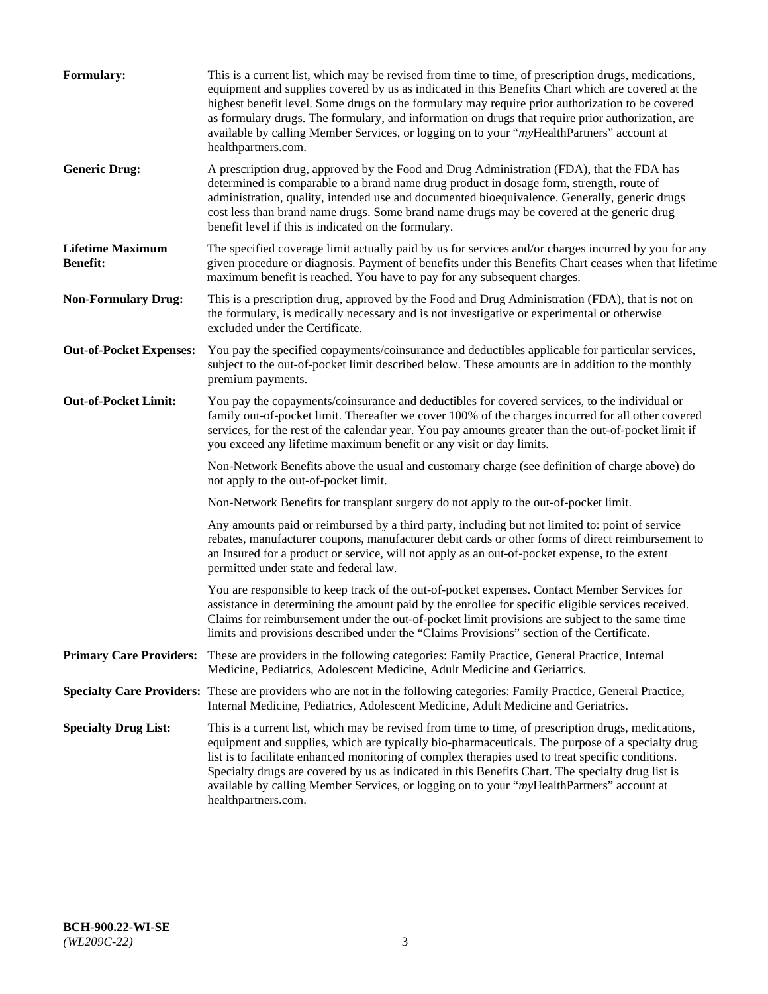| <b>Formulary:</b>                          | This is a current list, which may be revised from time to time, of prescription drugs, medications,<br>equipment and supplies covered by us as indicated in this Benefits Chart which are covered at the<br>highest benefit level. Some drugs on the formulary may require prior authorization to be covered<br>as formulary drugs. The formulary, and information on drugs that require prior authorization, are<br>available by calling Member Services, or logging on to your "myHealthPartners" account at<br>healthpartners.com. |
|--------------------------------------------|---------------------------------------------------------------------------------------------------------------------------------------------------------------------------------------------------------------------------------------------------------------------------------------------------------------------------------------------------------------------------------------------------------------------------------------------------------------------------------------------------------------------------------------|
| <b>Generic Drug:</b>                       | A prescription drug, approved by the Food and Drug Administration (FDA), that the FDA has<br>determined is comparable to a brand name drug product in dosage form, strength, route of<br>administration, quality, intended use and documented bioequivalence. Generally, generic drugs<br>cost less than brand name drugs. Some brand name drugs may be covered at the generic drug<br>benefit level if this is indicated on the formulary.                                                                                           |
| <b>Lifetime Maximum</b><br><b>Benefit:</b> | The specified coverage limit actually paid by us for services and/or charges incurred by you for any<br>given procedure or diagnosis. Payment of benefits under this Benefits Chart ceases when that lifetime<br>maximum benefit is reached. You have to pay for any subsequent charges.                                                                                                                                                                                                                                              |
| <b>Non-Formulary Drug:</b>                 | This is a prescription drug, approved by the Food and Drug Administration (FDA), that is not on<br>the formulary, is medically necessary and is not investigative or experimental or otherwise<br>excluded under the Certificate.                                                                                                                                                                                                                                                                                                     |
| <b>Out-of-Pocket Expenses:</b>             | You pay the specified copayments/coinsurance and deductibles applicable for particular services,<br>subject to the out-of-pocket limit described below. These amounts are in addition to the monthly<br>premium payments.                                                                                                                                                                                                                                                                                                             |
| <b>Out-of-Pocket Limit:</b>                | You pay the copayments/coinsurance and deductibles for covered services, to the individual or<br>family out-of-pocket limit. Thereafter we cover 100% of the charges incurred for all other covered<br>services, for the rest of the calendar year. You pay amounts greater than the out-of-pocket limit if<br>you exceed any lifetime maximum benefit or any visit or day limits.                                                                                                                                                    |
|                                            | Non-Network Benefits above the usual and customary charge (see definition of charge above) do<br>not apply to the out-of-pocket limit.                                                                                                                                                                                                                                                                                                                                                                                                |
|                                            | Non-Network Benefits for transplant surgery do not apply to the out-of-pocket limit.                                                                                                                                                                                                                                                                                                                                                                                                                                                  |
|                                            | Any amounts paid or reimbursed by a third party, including but not limited to: point of service<br>rebates, manufacturer coupons, manufacturer debit cards or other forms of direct reimbursement to<br>an Insured for a product or service, will not apply as an out-of-pocket expense, to the extent<br>permitted under state and federal law.                                                                                                                                                                                      |
|                                            | You are responsible to keep track of the out-of-pocket expenses. Contact Member Services for<br>assistance in determining the amount paid by the enrollee for specific eligible services received.<br>Claims for reimbursement under the out-of-pocket limit provisions are subject to the same time<br>limits and provisions described under the "Claims Provisions" section of the Certificate.                                                                                                                                     |
| <b>Primary Care Providers:</b>             | These are providers in the following categories: Family Practice, General Practice, Internal<br>Medicine, Pediatrics, Adolescent Medicine, Adult Medicine and Geriatrics.                                                                                                                                                                                                                                                                                                                                                             |
|                                            | Specialty Care Providers: These are providers who are not in the following categories: Family Practice, General Practice,<br>Internal Medicine, Pediatrics, Adolescent Medicine, Adult Medicine and Geriatrics.                                                                                                                                                                                                                                                                                                                       |
| <b>Specialty Drug List:</b>                | This is a current list, which may be revised from time to time, of prescription drugs, medications,<br>equipment and supplies, which are typically bio-pharmaceuticals. The purpose of a specialty drug<br>list is to facilitate enhanced monitoring of complex therapies used to treat specific conditions.<br>Specialty drugs are covered by us as indicated in this Benefits Chart. The specialty drug list is<br>available by calling Member Services, or logging on to your "myHealthPartners" account at<br>healthpartners.com. |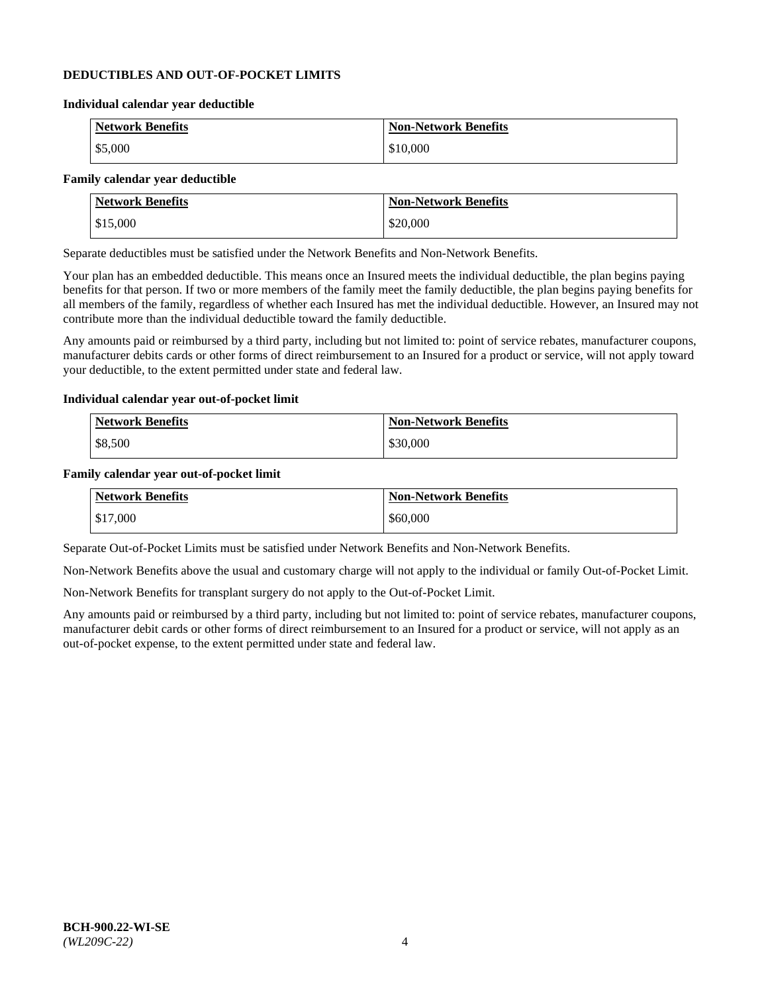### **DEDUCTIBLES AND OUT-OF-POCKET LIMITS**

#### **Individual calendar year deductible**

| <b>Network Benefits</b> | <b>Non-Network Benefits</b> |
|-------------------------|-----------------------------|
| $\frac{$5,000}{}$       | \$10,000                    |

#### **Family calendar year deductible**

| <b>Network Benefits</b> | <b>Non-Network Benefits</b> |
|-------------------------|-----------------------------|
| \$15,000                | \$20,000                    |

Separate deductibles must be satisfied under the Network Benefits and Non-Network Benefits.

Your plan has an embedded deductible. This means once an Insured meets the individual deductible, the plan begins paying benefits for that person. If two or more members of the family meet the family deductible, the plan begins paying benefits for all members of the family, regardless of whether each Insured has met the individual deductible. However, an Insured may not contribute more than the individual deductible toward the family deductible.

Any amounts paid or reimbursed by a third party, including but not limited to: point of service rebates, manufacturer coupons, manufacturer debits cards or other forms of direct reimbursement to an Insured for a product or service, will not apply toward your deductible, to the extent permitted under state and federal law.

#### **Individual calendar year out-of-pocket limit**

| Network Benefits | <b>Non-Network Benefits</b> |
|------------------|-----------------------------|
| \$8,500          | \$30,000                    |

#### **Family calendar year out-of-pocket limit**

| <b>Network Benefits</b> | <b>Non-Network Benefits</b> |
|-------------------------|-----------------------------|
| $\$17,000$              | \$60,000                    |

Separate Out-of-Pocket Limits must be satisfied under Network Benefits and Non-Network Benefits.

Non-Network Benefits above the usual and customary charge will not apply to the individual or family Out-of-Pocket Limit.

Non-Network Benefits for transplant surgery do not apply to the Out-of-Pocket Limit.

Any amounts paid or reimbursed by a third party, including but not limited to: point of service rebates, manufacturer coupons, manufacturer debit cards or other forms of direct reimbursement to an Insured for a product or service, will not apply as an out-of-pocket expense, to the extent permitted under state and federal law.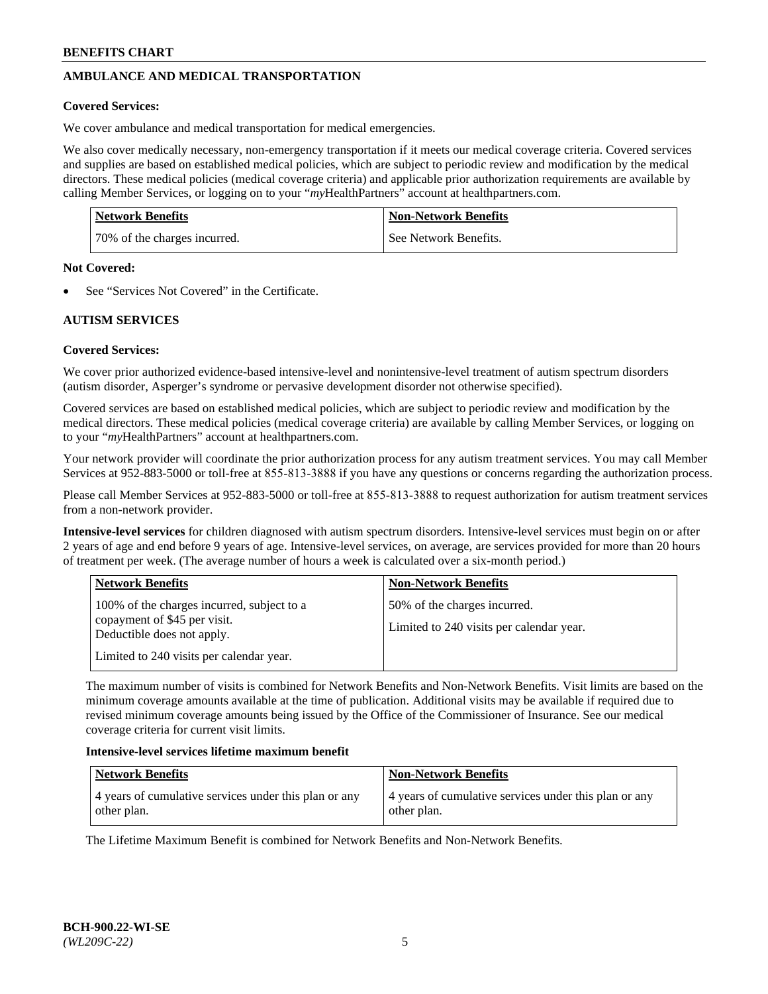# **AMBULANCE AND MEDICAL TRANSPORTATION**

### **Covered Services:**

We cover ambulance and medical transportation for medical emergencies.

We also cover medically necessary, non-emergency transportation if it meets our medical coverage criteria. Covered services and supplies are based on established medical policies, which are subject to periodic review and modification by the medical directors. These medical policies (medical coverage criteria) and applicable prior authorization requirements are available by calling Member Services, or logging on to your "*my*HealthPartners" account a[t healthpartners.com.](https://www.healthpartners.com/hp/index.html)

| <b>Network Benefits</b>      | <b>Non-Network Benefits</b> |
|------------------------------|-----------------------------|
| 70% of the charges incurred. | See Network Benefits.       |

#### **Not Covered:**

See "Services Not Covered" in the Certificate.

## **AUTISM SERVICES**

## **Covered Services:**

We cover prior authorized evidence-based intensive-level and nonintensive-level treatment of autism spectrum disorders (autism disorder, Asperger's syndrome or pervasive development disorder not otherwise specified).

Covered services are based on established medical policies, which are subject to periodic review and modification by the medical directors. These medical policies (medical coverage criteria) are available by calling Member Services, or logging on to your "*my*HealthPartners" account at [healthpartners.com.](https://www.healthpartners.com/hp/index.html)

Your network provider will coordinate the prior authorization process for any autism treatment services. You may call Member Services at 952-883-5000 or toll-free at 855-813-3888 if you have any questions or concerns regarding the authorization process.

Please call Member Services at 952-883-5000 or toll-free at 855-813-3888 to request authorization for autism treatment services from a non-network provider.

**Intensive-level services** for children diagnosed with autism spectrum disorders. Intensive-level services must begin on or after 2 years of age and end before 9 years of age. Intensive-level services, on average, are services provided for more than 20 hours of treatment per week. (The average number of hours a week is calculated over a six-month period.)

| <b>Network Benefits</b>                                                                                                                              | <b>Non-Network Benefits</b>                                              |
|------------------------------------------------------------------------------------------------------------------------------------------------------|--------------------------------------------------------------------------|
| 100% of the charges incurred, subject to a<br>copayment of \$45 per visit.<br>Deductible does not apply.<br>Limited to 240 visits per calendar year. | 50% of the charges incurred.<br>Limited to 240 visits per calendar year. |

The maximum number of visits is combined for Network Benefits and Non-Network Benefits. Visit limits are based on the minimum coverage amounts available at the time of publication. Additional visits may be available if required due to revised minimum coverage amounts being issued by the Office of the Commissioner of Insurance. See our medical coverage criteria for current visit limits.

#### **Intensive-level services lifetime maximum benefit**

| <b>Network Benefits</b>                                              | <b>Non-Network Benefits</b>                                          |
|----------------------------------------------------------------------|----------------------------------------------------------------------|
| 4 years of cumulative services under this plan or any<br>other plan. | 4 years of cumulative services under this plan or any<br>other plan. |

The Lifetime Maximum Benefit is combined for Network Benefits and Non-Network Benefits.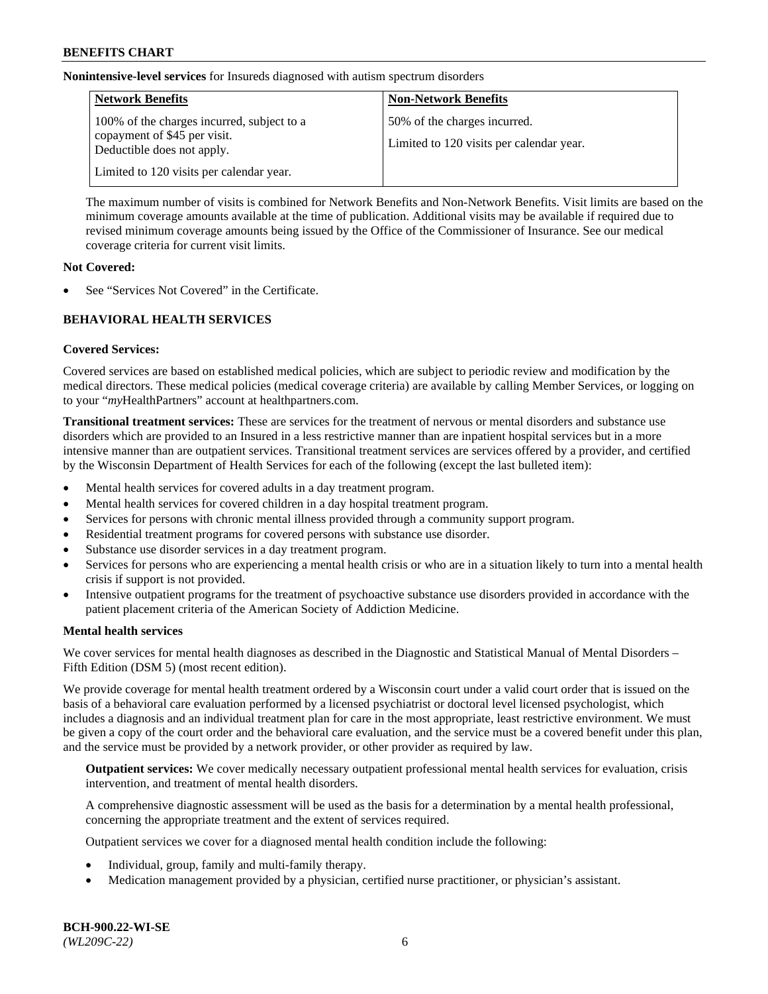**Nonintensive-level services** for Insureds diagnosed with autism spectrum disorders

| <b>Network Benefits</b>                                                                                  | <b>Non-Network Benefits</b>                                              |
|----------------------------------------------------------------------------------------------------------|--------------------------------------------------------------------------|
| 100% of the charges incurred, subject to a<br>copayment of \$45 per visit.<br>Deductible does not apply. | 50% of the charges incurred.<br>Limited to 120 visits per calendar year. |
| Limited to 120 visits per calendar year.                                                                 |                                                                          |

The maximum number of visits is combined for Network Benefits and Non-Network Benefits. Visit limits are based on the minimum coverage amounts available at the time of publication. Additional visits may be available if required due to revised minimum coverage amounts being issued by the Office of the Commissioner of Insurance. See our medical coverage criteria for current visit limits.

### **Not Covered:**

See "Services Not Covered" in the Certificate.

## **BEHAVIORAL HEALTH SERVICES**

## **Covered Services:**

Covered services are based on established medical policies, which are subject to periodic review and modification by the medical directors. These medical policies (medical coverage criteria) are available by calling Member Services, or logging on to your "*my*HealthPartners" account at [healthpartners.com.](https://www.healthpartners.com/hp/index.html)

**Transitional treatment services:** These are services for the treatment of nervous or mental disorders and substance use disorders which are provided to an Insured in a less restrictive manner than are inpatient hospital services but in a more intensive manner than are outpatient services. Transitional treatment services are services offered by a provider, and certified by the Wisconsin Department of Health Services for each of the following (except the last bulleted item):

- Mental health services for covered adults in a day treatment program.
- Mental health services for covered children in a day hospital treatment program.
- Services for persons with chronic mental illness provided through a community support program.
- Residential treatment programs for covered persons with substance use disorder.
- Substance use disorder services in a day treatment program.
- Services for persons who are experiencing a mental health crisis or who are in a situation likely to turn into a mental health crisis if support is not provided.
- Intensive outpatient programs for the treatment of psychoactive substance use disorders provided in accordance with the patient placement criteria of the American Society of Addiction Medicine.

## **Mental health services**

We cover services for mental health diagnoses as described in the Diagnostic and Statistical Manual of Mental Disorders – Fifth Edition (DSM 5) (most recent edition).

We provide coverage for mental health treatment ordered by a Wisconsin court under a valid court order that is issued on the basis of a behavioral care evaluation performed by a licensed psychiatrist or doctoral level licensed psychologist, which includes a diagnosis and an individual treatment plan for care in the most appropriate, least restrictive environment. We must be given a copy of the court order and the behavioral care evaluation, and the service must be a covered benefit under this plan, and the service must be provided by a network provider, or other provider as required by law.

**Outpatient services:** We cover medically necessary outpatient professional mental health services for evaluation, crisis intervention, and treatment of mental health disorders.

A comprehensive diagnostic assessment will be used as the basis for a determination by a mental health professional, concerning the appropriate treatment and the extent of services required.

Outpatient services we cover for a diagnosed mental health condition include the following:

- Individual, group, family and multi-family therapy.
- Medication management provided by a physician, certified nurse practitioner, or physician's assistant.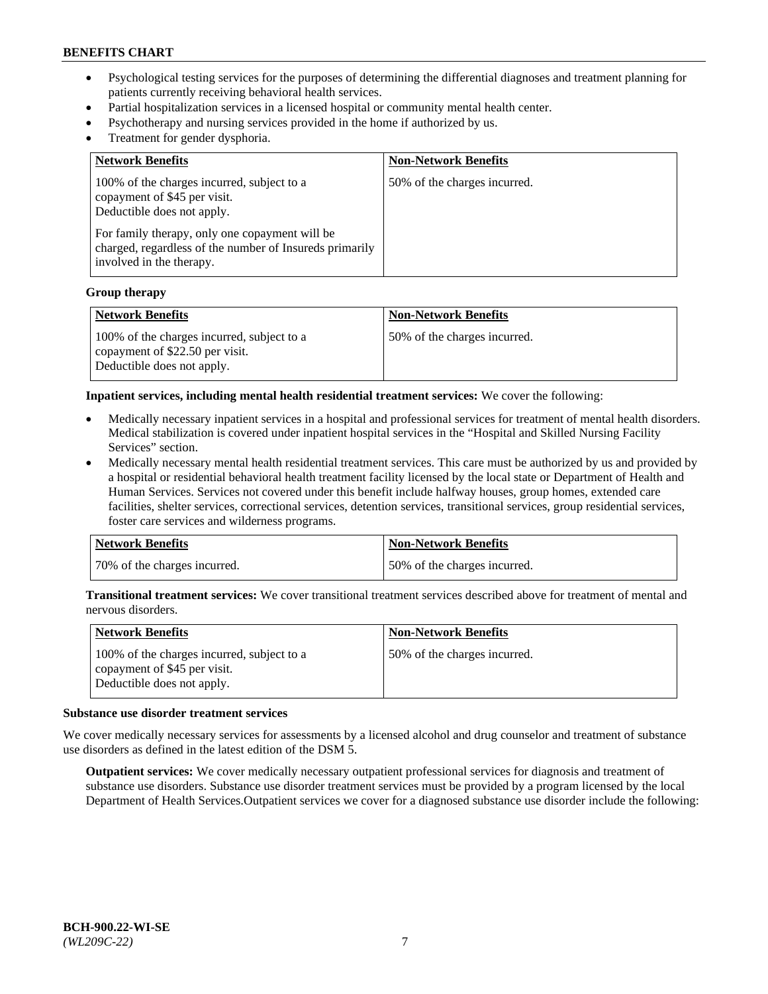- Psychological testing services for the purposes of determining the differential diagnoses and treatment planning for patients currently receiving behavioral health services.
- Partial hospitalization services in a licensed hospital or community mental health center.
- Psychotherapy and nursing services provided in the home if authorized by us.
- Treatment for gender dysphoria.

| <b>Network Benefits</b>                                                                                                                                                                                                                           | <b>Non-Network Benefits</b>  |
|---------------------------------------------------------------------------------------------------------------------------------------------------------------------------------------------------------------------------------------------------|------------------------------|
| 100% of the charges incurred, subject to a<br>copayment of \$45 per visit.<br>Deductible does not apply.<br>For family therapy, only one copayment will be<br>charged, regardless of the number of Insureds primarily<br>involved in the therapy. | 50% of the charges incurred. |

#### **Group therapy**

| Network Benefits                                                                                            | <b>Non-Network Benefits</b>  |
|-------------------------------------------------------------------------------------------------------------|------------------------------|
| 100% of the charges incurred, subject to a<br>copayment of \$22.50 per visit.<br>Deductible does not apply. | 50% of the charges incurred. |

**Inpatient services, including mental health residential treatment services:** We cover the following:

- Medically necessary inpatient services in a hospital and professional services for treatment of mental health disorders. Medical stabilization is covered under inpatient hospital services in the "Hospital and Skilled Nursing Facility Services" section.
- Medically necessary mental health residential treatment services. This care must be authorized by us and provided by a hospital or residential behavioral health treatment facility licensed by the local state or Department of Health and Human Services. Services not covered under this benefit include halfway houses, group homes, extended care facilities, shelter services, correctional services, detention services, transitional services, group residential services, foster care services and wilderness programs.

| Network Benefits             | <b>Non-Network Benefits</b>  |
|------------------------------|------------------------------|
| 70% of the charges incurred. | 50% of the charges incurred. |

**Transitional treatment services:** We cover transitional treatment services described above for treatment of mental and nervous disorders.

| <b>Network Benefits</b>                                                                                  | <b>Non-Network Benefits</b>  |
|----------------------------------------------------------------------------------------------------------|------------------------------|
| 100% of the charges incurred, subject to a<br>copayment of \$45 per visit.<br>Deductible does not apply. | 50% of the charges incurred. |

#### **Substance use disorder treatment services**

We cover medically necessary services for assessments by a licensed alcohol and drug counselor and treatment of substance use disorders as defined in the latest edition of the DSM 5.

**Outpatient services:** We cover medically necessary outpatient professional services for diagnosis and treatment of substance use disorders. Substance use disorder treatment services must be provided by a program licensed by the local Department of Health Services.Outpatient services we cover for a diagnosed substance use disorder include the following: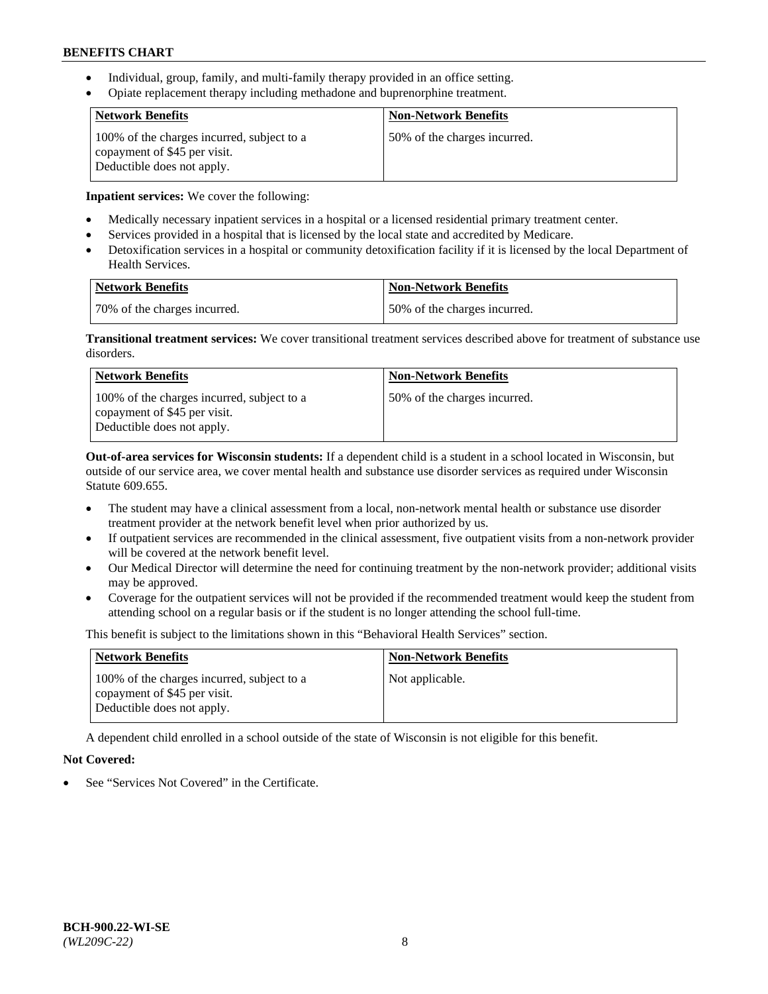- Individual, group, family, and multi-family therapy provided in an office setting.
- Opiate replacement therapy including methadone and buprenorphine treatment.

| <b>Network Benefits</b>                                                                                  | <b>Non-Network Benefits</b>  |
|----------------------------------------------------------------------------------------------------------|------------------------------|
| 100% of the charges incurred, subject to a<br>copayment of \$45 per visit.<br>Deductible does not apply. | 50% of the charges incurred. |

**Inpatient services:** We cover the following:

- Medically necessary inpatient services in a hospital or a licensed residential primary treatment center.
- Services provided in a hospital that is licensed by the local state and accredited by Medicare.
- Detoxification services in a hospital or community detoxification facility if it is licensed by the local Department of Health Services.

| Network Benefits             | Non-Network Benefits         |
|------------------------------|------------------------------|
| 70% of the charges incurred. | 50% of the charges incurred. |

**Transitional treatment services:** We cover transitional treatment services described above for treatment of substance use disorders.

| <b>Network Benefits</b>                                                                                  | <b>Non-Network Benefits</b>  |
|----------------------------------------------------------------------------------------------------------|------------------------------|
| 100% of the charges incurred, subject to a<br>copayment of \$45 per visit.<br>Deductible does not apply. | 50% of the charges incurred. |

**Out-of-area services for Wisconsin students:** If a dependent child is a student in a school located in Wisconsin, but outside of our service area, we cover mental health and substance use disorder services as required under Wisconsin Statute 609.655.

- The student may have a clinical assessment from a local, non-network mental health or substance use disorder treatment provider at the network benefit level when prior authorized by us.
- If outpatient services are recommended in the clinical assessment, five outpatient visits from a non-network provider will be covered at the network benefit level.
- Our Medical Director will determine the need for continuing treatment by the non-network provider; additional visits may be approved.
- Coverage for the outpatient services will not be provided if the recommended treatment would keep the student from attending school on a regular basis or if the student is no longer attending the school full-time.

This benefit is subject to the limitations shown in this "Behavioral Health Services" section.

| <b>Network Benefits</b>                                                                                  | <b>Non-Network Benefits</b> |
|----------------------------------------------------------------------------------------------------------|-----------------------------|
| 100% of the charges incurred, subject to a<br>copayment of \$45 per visit.<br>Deductible does not apply. | Not applicable.             |

A dependent child enrolled in a school outside of the state of Wisconsin is not eligible for this benefit.

## **Not Covered:**

See "Services Not Covered" in the Certificate.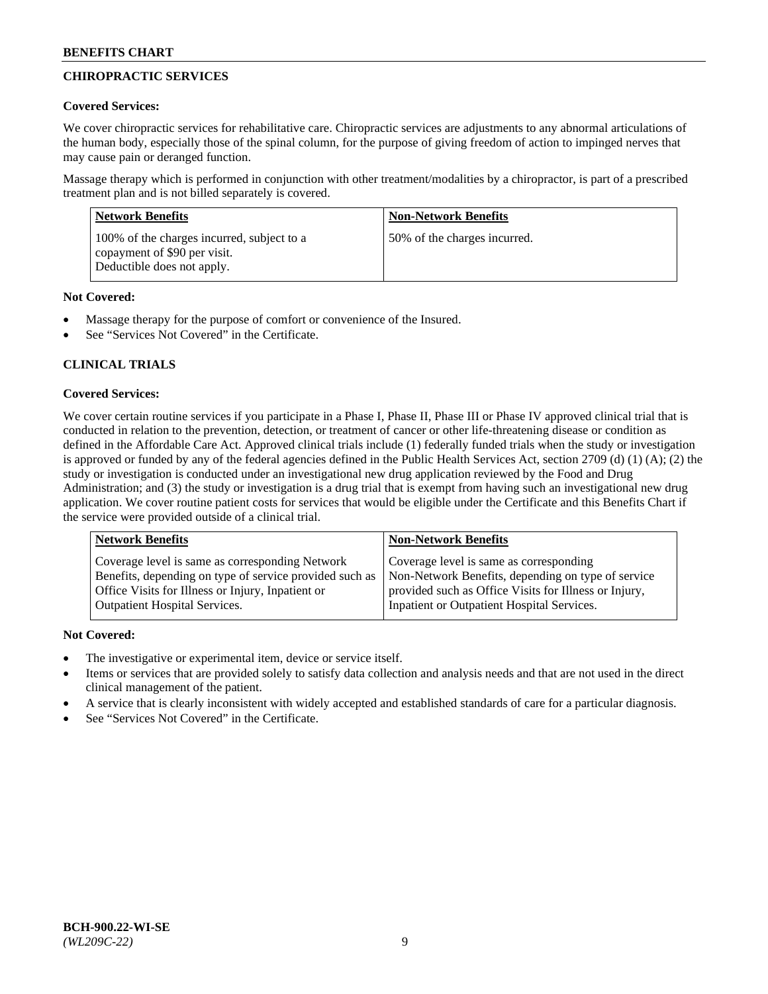# **CHIROPRACTIC SERVICES**

## **Covered Services:**

We cover chiropractic services for rehabilitative care. Chiropractic services are adjustments to any abnormal articulations of the human body, especially those of the spinal column, for the purpose of giving freedom of action to impinged nerves that may cause pain or deranged function.

Massage therapy which is performed in conjunction with other treatment/modalities by a chiropractor, is part of a prescribed treatment plan and is not billed separately is covered.

| <b>Network Benefits</b>                                                                                  | <b>Non-Network Benefits</b>  |
|----------------------------------------------------------------------------------------------------------|------------------------------|
| 100% of the charges incurred, subject to a<br>copayment of \$90 per visit.<br>Deductible does not apply. | 50% of the charges incurred. |

## **Not Covered:**

- Massage therapy for the purpose of comfort or convenience of the Insured.
- See "Services Not Covered" in the Certificate.

# **CLINICAL TRIALS**

## **Covered Services:**

We cover certain routine services if you participate in a Phase I, Phase II, Phase III or Phase IV approved clinical trial that is conducted in relation to the prevention, detection, or treatment of cancer or other life-threatening disease or condition as defined in the Affordable Care Act. Approved clinical trials include (1) federally funded trials when the study or investigation is approved or funded by any of the federal agencies defined in the Public Health Services Act, section 2709 (d) (1) (A); (2) the study or investigation is conducted under an investigational new drug application reviewed by the Food and Drug Administration; and (3) the study or investigation is a drug trial that is exempt from having such an investigational new drug application. We cover routine patient costs for services that would be eligible under the Certificate and this Benefits Chart if the service were provided outside of a clinical trial.

| Coverage level is same as corresponding<br>Coverage level is same as corresponding Network<br>Non-Network Benefits, depending on type of service<br>Benefits, depending on type of service provided such as<br>Office Visits for Illness or Injury, Inpatient or<br>provided such as Office Visits for Illness or Injury, | <b>Network Benefits</b>              | <b>Non-Network Benefits</b>                |
|---------------------------------------------------------------------------------------------------------------------------------------------------------------------------------------------------------------------------------------------------------------------------------------------------------------------------|--------------------------------------|--------------------------------------------|
|                                                                                                                                                                                                                                                                                                                           | <b>Outpatient Hospital Services.</b> | Inpatient or Outpatient Hospital Services. |

- The investigative or experimental item, device or service itself.
- Items or services that are provided solely to satisfy data collection and analysis needs and that are not used in the direct clinical management of the patient.
- A service that is clearly inconsistent with widely accepted and established standards of care for a particular diagnosis.
- See "Services Not Covered" in the Certificate.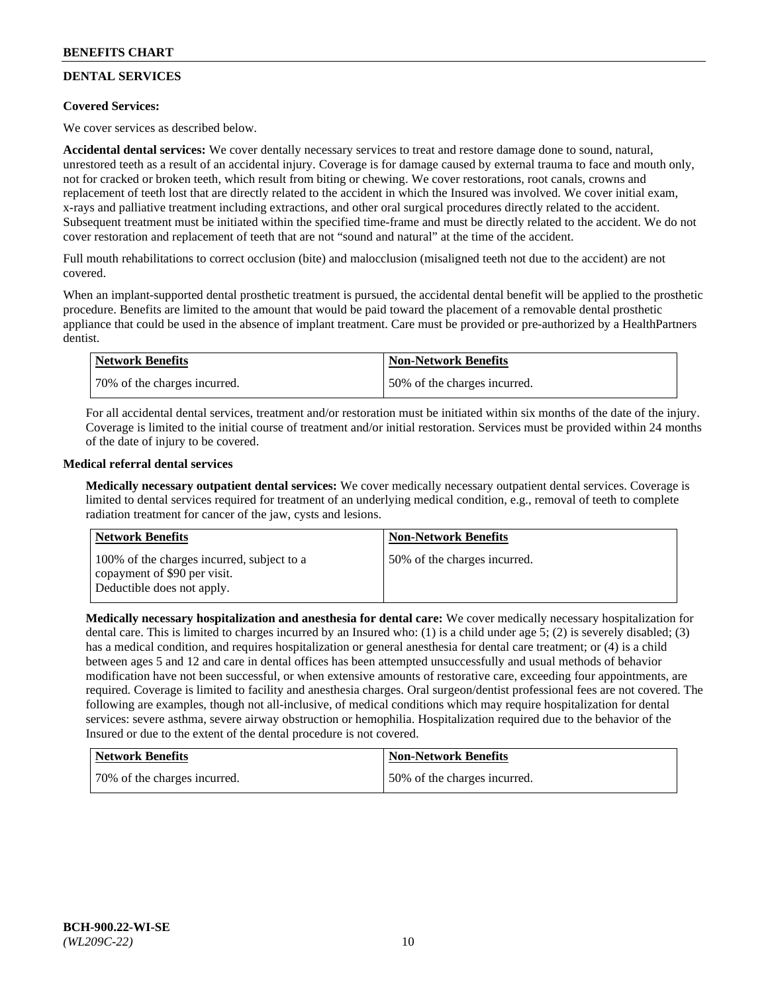# **DENTAL SERVICES**

## **Covered Services:**

We cover services as described below.

**Accidental dental services:** We cover dentally necessary services to treat and restore damage done to sound, natural, unrestored teeth as a result of an accidental injury. Coverage is for damage caused by external trauma to face and mouth only, not for cracked or broken teeth, which result from biting or chewing. We cover restorations, root canals, crowns and replacement of teeth lost that are directly related to the accident in which the Insured was involved. We cover initial exam, x-rays and palliative treatment including extractions, and other oral surgical procedures directly related to the accident. Subsequent treatment must be initiated within the specified time-frame and must be directly related to the accident. We do not cover restoration and replacement of teeth that are not "sound and natural" at the time of the accident.

Full mouth rehabilitations to correct occlusion (bite) and malocclusion (misaligned teeth not due to the accident) are not covered.

When an implant-supported dental prosthetic treatment is pursued, the accidental dental benefit will be applied to the prosthetic procedure. Benefits are limited to the amount that would be paid toward the placement of a removable dental prosthetic appliance that could be used in the absence of implant treatment. Care must be provided or pre-authorized by a HealthPartners dentist.

| Network Benefits             | <b>Non-Network Benefits</b>  |
|------------------------------|------------------------------|
| 70% of the charges incurred. | 50% of the charges incurred. |

For all accidental dental services, treatment and/or restoration must be initiated within six months of the date of the injury. Coverage is limited to the initial course of treatment and/or initial restoration. Services must be provided within 24 months of the date of injury to be covered.

### **Medical referral dental services**

**Medically necessary outpatient dental services:** We cover medically necessary outpatient dental services. Coverage is limited to dental services required for treatment of an underlying medical condition, e.g., removal of teeth to complete radiation treatment for cancer of the jaw, cysts and lesions.

| <b>Network Benefits</b>                                                                                  | <b>Non-Network Benefits</b>  |
|----------------------------------------------------------------------------------------------------------|------------------------------|
| 100% of the charges incurred, subject to a<br>copayment of \$90 per visit.<br>Deductible does not apply. | 50% of the charges incurred. |

**Medically necessary hospitalization and anesthesia for dental care:** We cover medically necessary hospitalization for dental care. This is limited to charges incurred by an Insured who: (1) is a child under age 5; (2) is severely disabled; (3) has a medical condition, and requires hospitalization or general anesthesia for dental care treatment; or (4) is a child between ages 5 and 12 and care in dental offices has been attempted unsuccessfully and usual methods of behavior modification have not been successful, or when extensive amounts of restorative care, exceeding four appointments, are required. Coverage is limited to facility and anesthesia charges. Oral surgeon/dentist professional fees are not covered. The following are examples, though not all-inclusive, of medical conditions which may require hospitalization for dental services: severe asthma, severe airway obstruction or hemophilia. Hospitalization required due to the behavior of the Insured or due to the extent of the dental procedure is not covered.

| <b>Network Benefits</b>      | Non-Network Benefits         |
|------------------------------|------------------------------|
| 70% of the charges incurred. | 50% of the charges incurred. |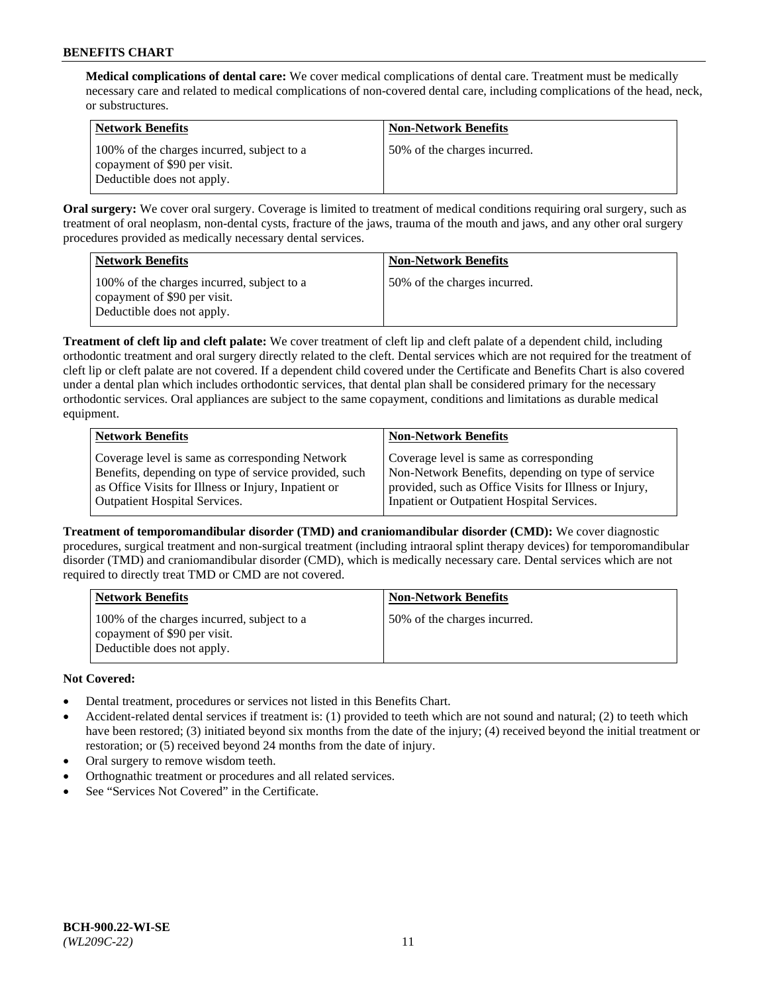**Medical complications of dental care:** We cover medical complications of dental care. Treatment must be medically necessary care and related to medical complications of non-covered dental care, including complications of the head, neck, or substructures.

| Network Benefits                                                                                         | <b>Non-Network Benefits</b>  |
|----------------------------------------------------------------------------------------------------------|------------------------------|
| 100% of the charges incurred, subject to a<br>copayment of \$90 per visit.<br>Deductible does not apply. | 50% of the charges incurred. |

**Oral surgery:** We cover oral surgery. Coverage is limited to treatment of medical conditions requiring oral surgery, such as treatment of oral neoplasm, non-dental cysts, fracture of the jaws, trauma of the mouth and jaws, and any other oral surgery procedures provided as medically necessary dental services.

| <b>Network Benefits</b>                                                                                  | <b>Non-Network Benefits</b>  |
|----------------------------------------------------------------------------------------------------------|------------------------------|
| 100% of the charges incurred, subject to a<br>copayment of \$90 per visit.<br>Deductible does not apply. | 50% of the charges incurred. |

**Treatment of cleft lip and cleft palate:** We cover treatment of cleft lip and cleft palate of a dependent child, including orthodontic treatment and oral surgery directly related to the cleft. Dental services which are not required for the treatment of cleft lip or cleft palate are not covered. If a dependent child covered under the Certificate and Benefits Chart is also covered under a dental plan which includes orthodontic services, that dental plan shall be considered primary for the necessary orthodontic services. Oral appliances are subject to the same copayment, conditions and limitations as durable medical equipment.

| <b>Network Benefits</b>                               | <b>Non-Network Benefits</b>                            |
|-------------------------------------------------------|--------------------------------------------------------|
| Coverage level is same as corresponding Network       | Coverage level is same as corresponding                |
| Benefits, depending on type of service provided, such | Non-Network Benefits, depending on type of service     |
| as Office Visits for Illness or Injury, Inpatient or  | provided, such as Office Visits for Illness or Injury, |
| <b>Outpatient Hospital Services.</b>                  | Inpatient or Outpatient Hospital Services.             |

**Treatment of temporomandibular disorder (TMD) and craniomandibular disorder (CMD):** We cover diagnostic procedures, surgical treatment and non-surgical treatment (including intraoral splint therapy devices) for temporomandibular disorder (TMD) and craniomandibular disorder (CMD), which is medically necessary care. Dental services which are not required to directly treat TMD or CMD are not covered.

| <b>Network Benefits</b>                                                                                  | <b>Non-Network Benefits</b>  |
|----------------------------------------------------------------------------------------------------------|------------------------------|
| 100% of the charges incurred, subject to a<br>copayment of \$90 per visit.<br>Deductible does not apply. | 50% of the charges incurred. |

- Dental treatment, procedures or services not listed in this Benefits Chart.
- Accident-related dental services if treatment is: (1) provided to teeth which are not sound and natural; (2) to teeth which have been restored; (3) initiated beyond six months from the date of the injury; (4) received beyond the initial treatment or restoration; or (5) received beyond 24 months from the date of injury.
- Oral surgery to remove wisdom teeth.
- Orthognathic treatment or procedures and all related services.
- See "Services Not Covered" in the Certificate.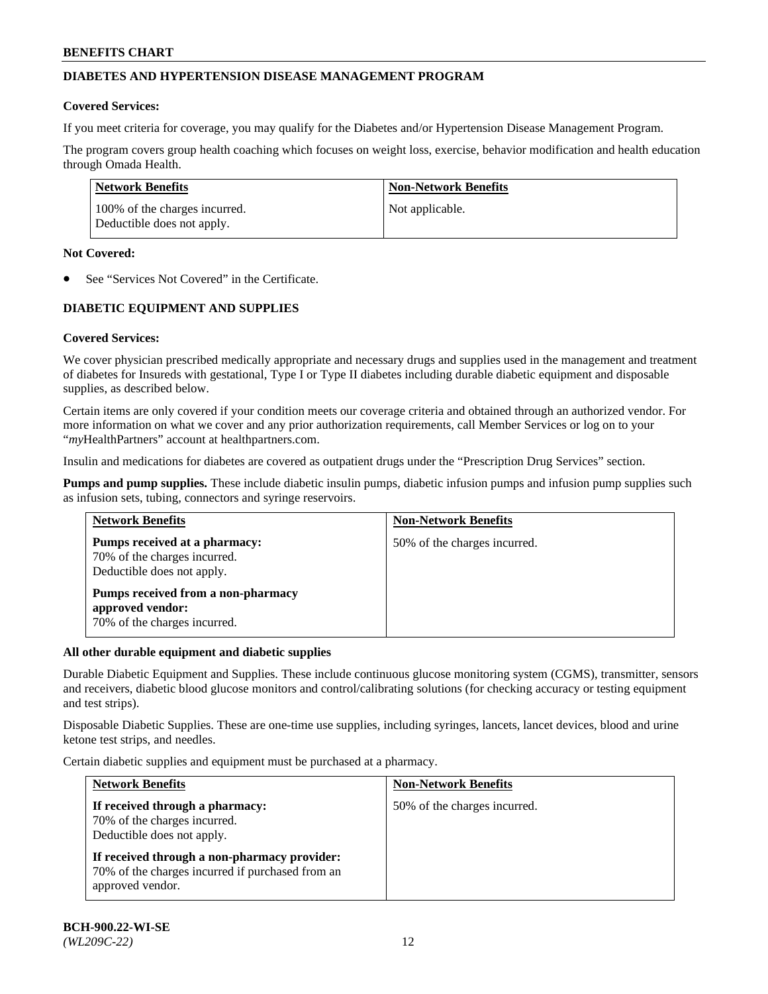## **DIABETES AND HYPERTENSION DISEASE MANAGEMENT PROGRAM**

### **Covered Services:**

If you meet criteria for coverage, you may qualify for the Diabetes and/or Hypertension Disease Management Program.

The program covers group health coaching which focuses on weight loss, exercise, behavior modification and health education through Omada Health.

| <b>Network Benefits</b>                                     | <b>Non-Network Benefits</b> |
|-------------------------------------------------------------|-----------------------------|
| 100% of the charges incurred.<br>Deductible does not apply. | Not applicable.             |

### **Not Covered:**

See "Services Not Covered" in the Certificate.

## **DIABETIC EQUIPMENT AND SUPPLIES**

## **Covered Services:**

We cover physician prescribed medically appropriate and necessary drugs and supplies used in the management and treatment of diabetes for Insureds with gestational, Type I or Type II diabetes including durable diabetic equipment and disposable supplies, as described below.

Certain items are only covered if your condition meets our coverage criteria and obtained through an authorized vendor. For more information on what we cover and any prior authorization requirements, call Member Services or log on to your "*my*HealthPartners" account at [healthpartners.com.](http://www.healthpartners.com/)

Insulin and medications for diabetes are covered as outpatient drugs under the "Prescription Drug Services" section.

**Pumps and pump supplies.** These include diabetic insulin pumps, diabetic infusion pumps and infusion pump supplies such as infusion sets, tubing, connectors and syringe reservoirs.

| <b>Network Benefits</b>                                                                     | <b>Non-Network Benefits</b>  |
|---------------------------------------------------------------------------------------------|------------------------------|
| Pumps received at a pharmacy:<br>70% of the charges incurred.<br>Deductible does not apply. | 50% of the charges incurred. |
| Pumps received from a non-pharmacy<br>approved vendor:<br>70% of the charges incurred.      |                              |

## **All other durable equipment and diabetic supplies**

Durable Diabetic Equipment and Supplies. These include continuous glucose monitoring system (CGMS), transmitter, sensors and receivers, diabetic blood glucose monitors and control/calibrating solutions (for checking accuracy or testing equipment and test strips).

Disposable Diabetic Supplies. These are one-time use supplies, including syringes, lancets, lancet devices, blood and urine ketone test strips, and needles.

Certain diabetic supplies and equipment must be purchased at a pharmacy.

| <b>Network Benefits</b>                                                                                              | <b>Non-Network Benefits</b>  |
|----------------------------------------------------------------------------------------------------------------------|------------------------------|
| If received through a pharmacy:<br>70% of the charges incurred.<br>Deductible does not apply.                        | 50% of the charges incurred. |
| If received through a non-pharmacy provider:<br>70% of the charges incurred if purchased from an<br>approved vendor. |                              |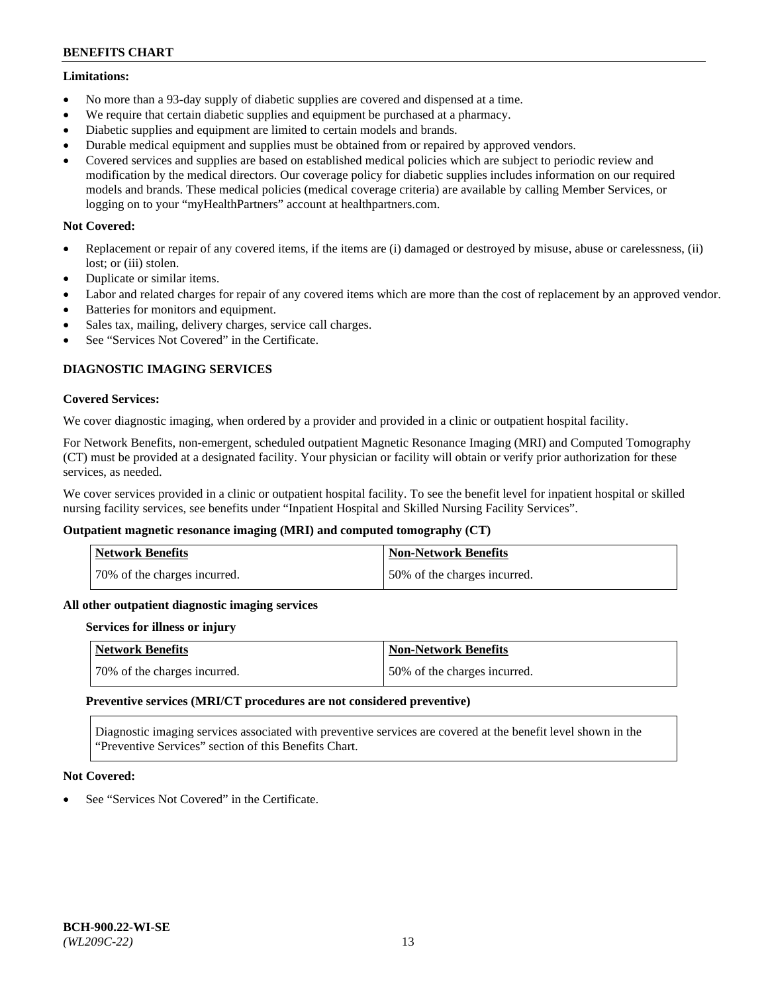### **Limitations:**

- No more than a 93-day supply of diabetic supplies are covered and dispensed at a time.
- We require that certain diabetic supplies and equipment be purchased at a pharmacy.
- Diabetic supplies and equipment are limited to certain models and brands.
- Durable medical equipment and supplies must be obtained from or repaired by approved vendors.
- Covered services and supplies are based on established medical policies which are subject to periodic review and modification by the medical directors. Our coverage policy for diabetic supplies includes information on our required models and brands. These medical policies (medical coverage criteria) are available by calling Member Services, or logging on to your "myHealthPartners" account at [healthpartners.com.](http://www.healthpartners.com/)

## **Not Covered:**

- Replacement or repair of any covered items, if the items are (i) damaged or destroyed by misuse, abuse or carelessness, (ii) lost; or (iii) stolen.
- Duplicate or similar items.
- Labor and related charges for repair of any covered items which are more than the cost of replacement by an approved vendor.
- Batteries for monitors and equipment.
- Sales tax, mailing, delivery charges, service call charges.
- See "Services Not Covered" in the Certificate.

## **DIAGNOSTIC IMAGING SERVICES**

### **Covered Services:**

We cover diagnostic imaging, when ordered by a provider and provided in a clinic or outpatient hospital facility.

For Network Benefits, non-emergent, scheduled outpatient Magnetic Resonance Imaging (MRI) and Computed Tomography (CT) must be provided at a designated facility. Your physician or facility will obtain or verify prior authorization for these services, as needed.

We cover services provided in a clinic or outpatient hospital facility. To see the benefit level for inpatient hospital or skilled nursing facility services, see benefits under "Inpatient Hospital and Skilled Nursing Facility Services".

## **Outpatient magnetic resonance imaging (MRI) and computed tomography (CT)**

| <b>Network Benefits</b>      | <b>Non-Network Benefits</b>  |
|------------------------------|------------------------------|
| 70% of the charges incurred. | 50% of the charges incurred. |

#### **All other outpatient diagnostic imaging services**

#### **Services for illness or injury**

| <b>Network Benefits</b>      | Non-Network Benefits         |
|------------------------------|------------------------------|
| 70% of the charges incurred. | 50% of the charges incurred. |

#### **Preventive services (MRI/CT procedures are not considered preventive)**

Diagnostic imaging services associated with preventive services are covered at the benefit level shown in the "Preventive Services" section of this Benefits Chart.

## **Not Covered:**

See "Services Not Covered" in the Certificate.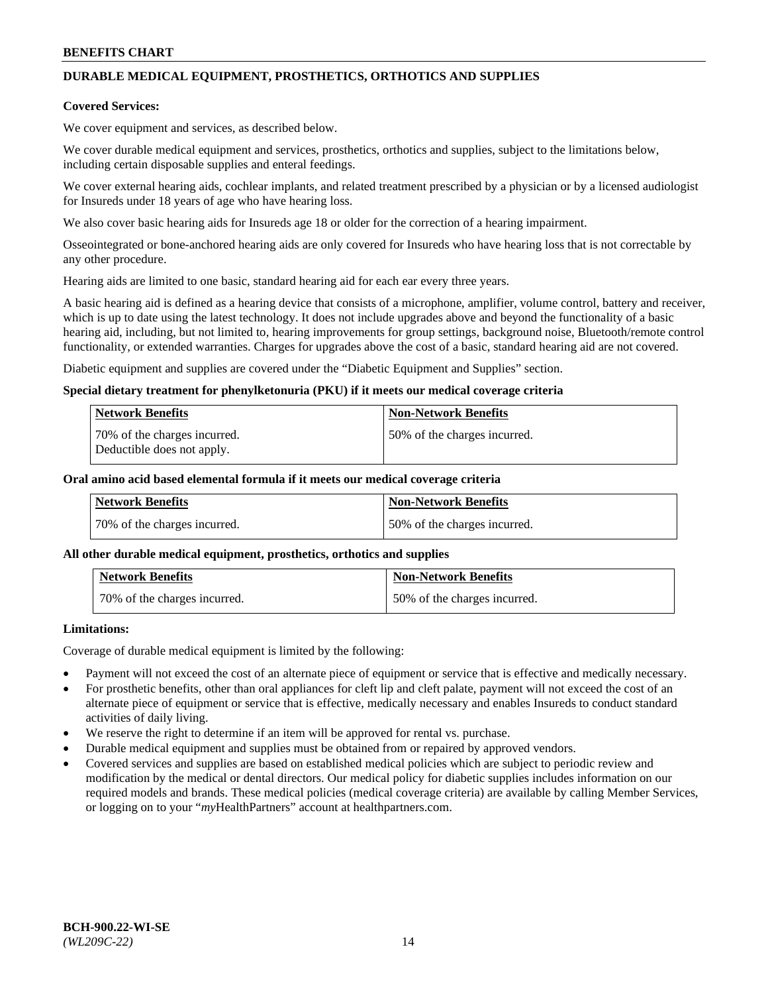# **DURABLE MEDICAL EQUIPMENT, PROSTHETICS, ORTHOTICS AND SUPPLIES**

### **Covered Services:**

We cover equipment and services, as described below.

We cover durable medical equipment and services, prosthetics, orthotics and supplies, subject to the limitations below, including certain disposable supplies and enteral feedings.

We cover external hearing aids, cochlear implants, and related treatment prescribed by a physician or by a licensed audiologist for Insureds under 18 years of age who have hearing loss.

We also cover basic hearing aids for Insureds age 18 or older for the correction of a hearing impairment.

Osseointegrated or bone-anchored hearing aids are only covered for Insureds who have hearing loss that is not correctable by any other procedure.

Hearing aids are limited to one basic, standard hearing aid for each ear every three years.

A basic hearing aid is defined as a hearing device that consists of a microphone, amplifier, volume control, battery and receiver, which is up to date using the latest technology. It does not include upgrades above and beyond the functionality of a basic hearing aid, including, but not limited to, hearing improvements for group settings, background noise, Bluetooth/remote control functionality, or extended warranties. Charges for upgrades above the cost of a basic, standard hearing aid are not covered.

Diabetic equipment and supplies are covered under the "Diabetic Equipment and Supplies" section.

### **Special dietary treatment for phenylketonuria (PKU) if it meets our medical coverage criteria**

| <b>Network Benefits</b>                                    | <b>Non-Network Benefits</b>  |
|------------------------------------------------------------|------------------------------|
| 70% of the charges incurred.<br>Deductible does not apply. | 50% of the charges incurred. |

### **Oral amino acid based elemental formula if it meets our medical coverage criteria**

| Network Benefits             | <b>Non-Network Benefits</b>  |
|------------------------------|------------------------------|
| 70% of the charges incurred. | 50% of the charges incurred. |

#### **All other durable medical equipment, prosthetics, orthotics and supplies**

| <b>Network Benefits</b>      | <b>Non-Network Benefits</b>  |
|------------------------------|------------------------------|
| 70% of the charges incurred. | 50% of the charges incurred. |

## **Limitations:**

Coverage of durable medical equipment is limited by the following:

- Payment will not exceed the cost of an alternate piece of equipment or service that is effective and medically necessary.
- For prosthetic benefits, other than oral appliances for cleft lip and cleft palate, payment will not exceed the cost of an alternate piece of equipment or service that is effective, medically necessary and enables Insureds to conduct standard activities of daily living.
- We reserve the right to determine if an item will be approved for rental vs. purchase.
- Durable medical equipment and supplies must be obtained from or repaired by approved vendors.
- Covered services and supplies are based on established medical policies which are subject to periodic review and modification by the medical or dental directors. Our medical policy for diabetic supplies includes information on our required models and brands. These medical policies (medical coverage criteria) are available by calling Member Services, or logging on to your "*my*HealthPartners" account a[t healthpartners.com.](http://www.healthpartners.com/)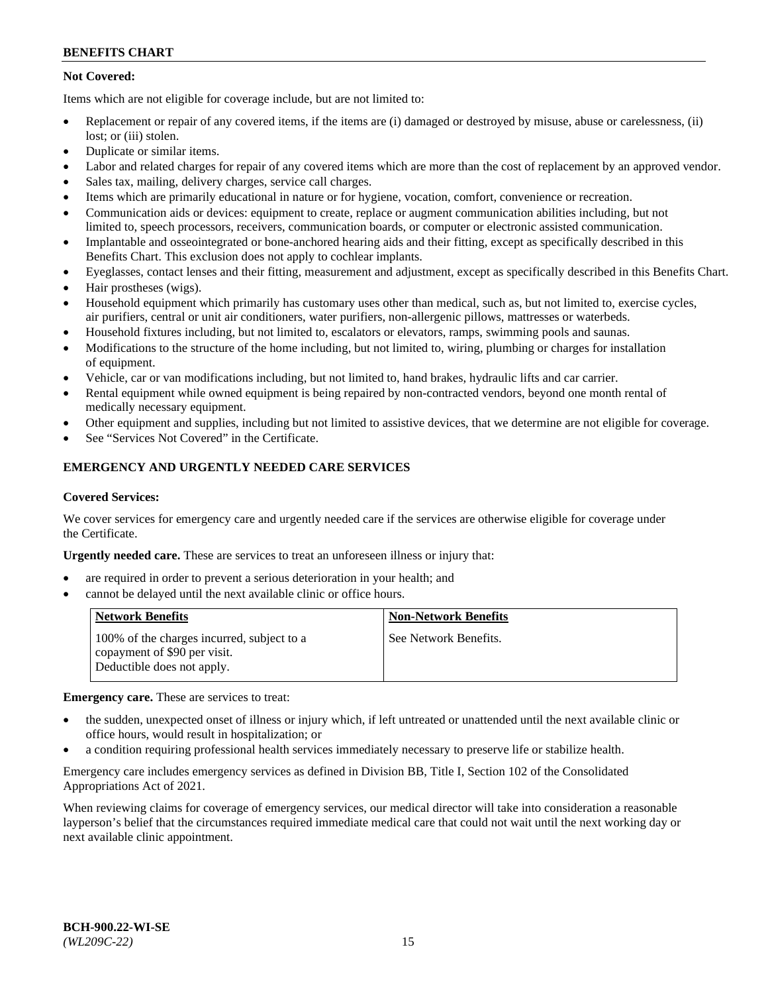## **Not Covered:**

Items which are not eligible for coverage include, but are not limited to:

- Replacement or repair of any covered items, if the items are (i) damaged or destroyed by misuse, abuse or carelessness, (ii) lost; or (iii) stolen.
- Duplicate or similar items.
- Labor and related charges for repair of any covered items which are more than the cost of replacement by an approved vendor.
- Sales tax, mailing, delivery charges, service call charges.
- Items which are primarily educational in nature or for hygiene, vocation, comfort, convenience or recreation.
- Communication aids or devices: equipment to create, replace or augment communication abilities including, but not limited to, speech processors, receivers, communication boards, or computer or electronic assisted communication.
- Implantable and osseointegrated or bone-anchored hearing aids and their fitting, except as specifically described in this Benefits Chart. This exclusion does not apply to cochlear implants.
- Eyeglasses, contact lenses and their fitting, measurement and adjustment, except as specifically described in this Benefits Chart.
- Hair prostheses (wigs).
- Household equipment which primarily has customary uses other than medical, such as, but not limited to, exercise cycles, air purifiers, central or unit air conditioners, water purifiers, non-allergenic pillows, mattresses or waterbeds.
- Household fixtures including, but not limited to, escalators or elevators, ramps, swimming pools and saunas.
- Modifications to the structure of the home including, but not limited to, wiring, plumbing or charges for installation of equipment.
- Vehicle, car or van modifications including, but not limited to, hand brakes, hydraulic lifts and car carrier.
- Rental equipment while owned equipment is being repaired by non-contracted vendors, beyond one month rental of medically necessary equipment.
- Other equipment and supplies, including but not limited to assistive devices, that we determine are not eligible for coverage.
- See "Services Not Covered" in the Certificate.

## **EMERGENCY AND URGENTLY NEEDED CARE SERVICES**

#### **Covered Services:**

We cover services for emergency care and urgently needed care if the services are otherwise eligible for coverage under the Certificate.

**Urgently needed care.** These are services to treat an unforeseen illness or injury that:

- are required in order to prevent a serious deterioration in your health; and
- cannot be delayed until the next available clinic or office hours.

| <b>Network Benefits</b>                                                                                  | <b>Non-Network Benefits</b> |
|----------------------------------------------------------------------------------------------------------|-----------------------------|
| 100% of the charges incurred, subject to a<br>copayment of \$90 per visit.<br>Deductible does not apply. | See Network Benefits.       |

**Emergency care.** These are services to treat:

- the sudden, unexpected onset of illness or injury which, if left untreated or unattended until the next available clinic or office hours, would result in hospitalization; or
- a condition requiring professional health services immediately necessary to preserve life or stabilize health.

Emergency care includes emergency services as defined in Division BB, Title I, Section 102 of the Consolidated Appropriations Act of 2021.

When reviewing claims for coverage of emergency services, our medical director will take into consideration a reasonable layperson's belief that the circumstances required immediate medical care that could not wait until the next working day or next available clinic appointment.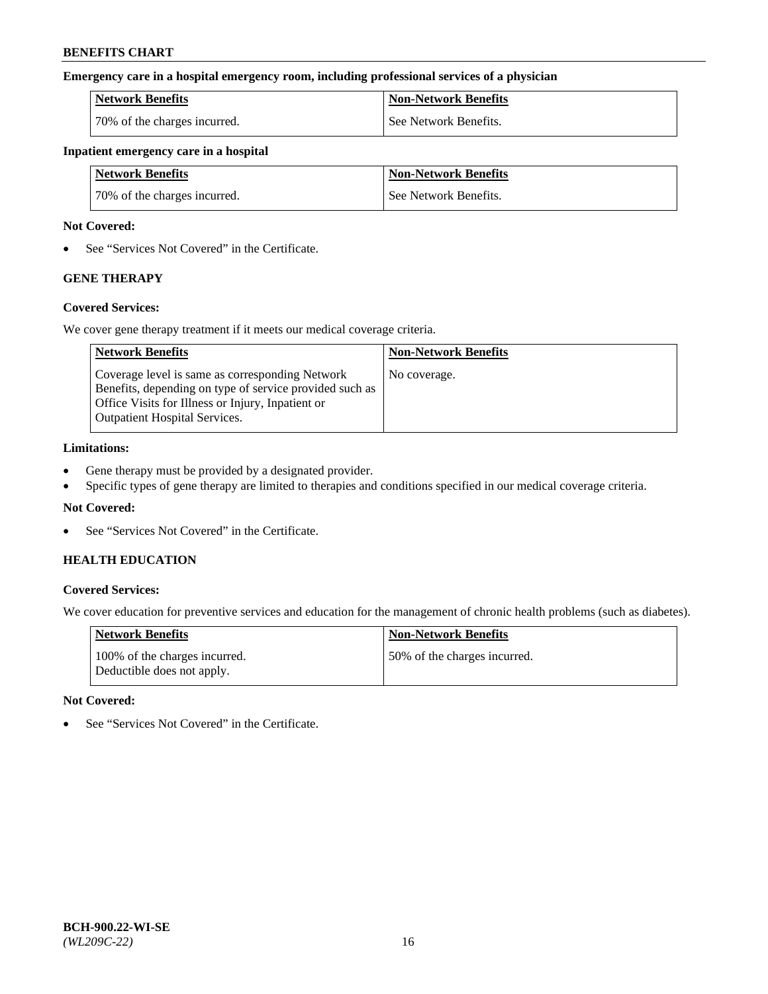### **Emergency care in a hospital emergency room, including professional services of a physician**

| <b>Network Benefits</b>      | <b>Non-Network Benefits</b> |
|------------------------------|-----------------------------|
| 70% of the charges incurred. | See Network Benefits.       |

### **Inpatient emergency care in a hospital**

| <b>Network Benefits</b>      | <b>Non-Network Benefits</b> |
|------------------------------|-----------------------------|
| 70% of the charges incurred. | See Network Benefits.       |

### **Not Covered:**

• See "Services Not Covered" in the Certificate.

# **GENE THERAPY**

## **Covered Services:**

We cover gene therapy treatment if it meets our medical coverage criteria.

| <b>Network Benefits</b>                                                                                                                                                                                 | <b>Non-Network Benefits</b> |
|---------------------------------------------------------------------------------------------------------------------------------------------------------------------------------------------------------|-----------------------------|
| Coverage level is same as corresponding Network<br>Benefits, depending on type of service provided such as<br>Office Visits for Illness or Injury, Inpatient or<br><b>Outpatient Hospital Services.</b> | No coverage.                |

### **Limitations:**

- Gene therapy must be provided by a designated provider.
- Specific types of gene therapy are limited to therapies and conditions specified in our medical coverage criteria.

## **Not Covered:**

• See "Services Not Covered" in the Certificate.

## **HEALTH EDUCATION**

## **Covered Services:**

We cover education for preventive services and education for the management of chronic health problems (such as diabetes).

| <b>Network Benefits</b>                                     | <b>Non-Network Benefits</b>  |
|-------------------------------------------------------------|------------------------------|
| 100% of the charges incurred.<br>Deductible does not apply. | 50% of the charges incurred. |

#### **Not Covered:**

• See "Services Not Covered" in the Certificate.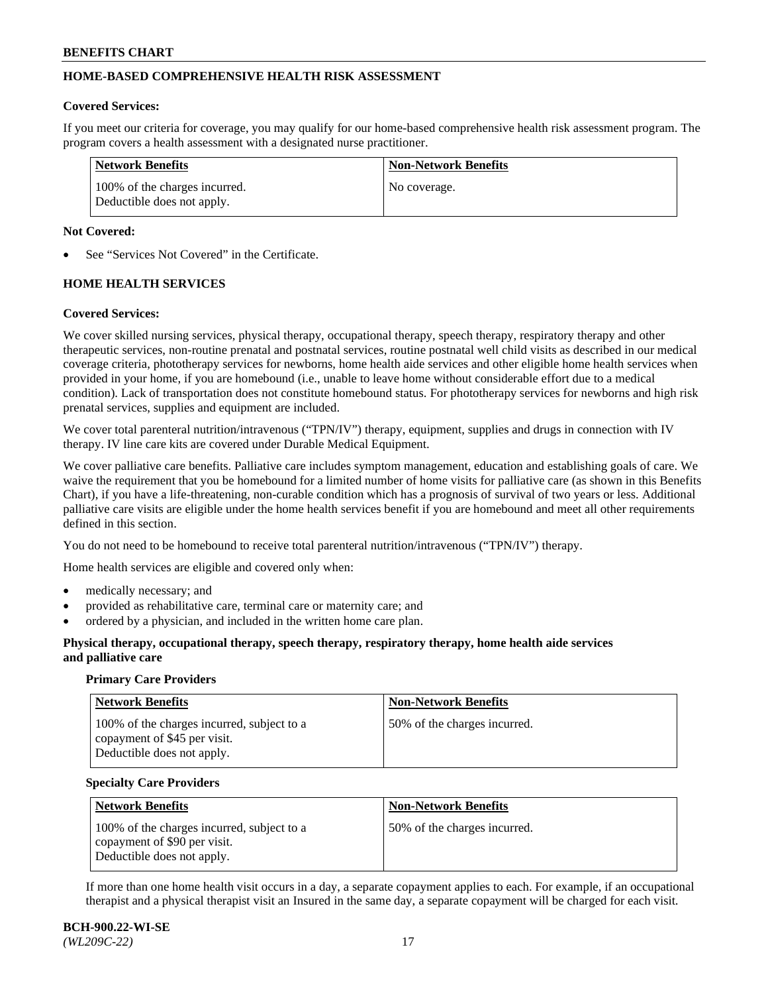## **HOME-BASED COMPREHENSIVE HEALTH RISK ASSESSMENT**

#### **Covered Services:**

If you meet our criteria for coverage, you may qualify for our home-based comprehensive health risk assessment program. The program covers a health assessment with a designated nurse practitioner.

| Network Benefits                                            | <b>Non-Network Benefits</b> |
|-------------------------------------------------------------|-----------------------------|
| 100% of the charges incurred.<br>Deductible does not apply. | No coverage.                |

### **Not Covered:**

See "Services Not Covered" in the Certificate.

## **HOME HEALTH SERVICES**

### **Covered Services:**

We cover skilled nursing services, physical therapy, occupational therapy, speech therapy, respiratory therapy and other therapeutic services, non-routine prenatal and postnatal services, routine postnatal well child visits as described in our medical coverage criteria, phototherapy services for newborns, home health aide services and other eligible home health services when provided in your home, if you are homebound (i.e., unable to leave home without considerable effort due to a medical condition). Lack of transportation does not constitute homebound status. For phototherapy services for newborns and high risk prenatal services, supplies and equipment are included.

We cover total parenteral nutrition/intravenous ("TPN/IV") therapy, equipment, supplies and drugs in connection with IV therapy. IV line care kits are covered under Durable Medical Equipment.

We cover palliative care benefits. Palliative care includes symptom management, education and establishing goals of care. We waive the requirement that you be homebound for a limited number of home visits for palliative care (as shown in this Benefits Chart), if you have a life-threatening, non-curable condition which has a prognosis of survival of two years or less. Additional palliative care visits are eligible under the home health services benefit if you are homebound and meet all other requirements defined in this section.

You do not need to be homebound to receive total parenteral nutrition/intravenous ("TPN/IV") therapy.

Home health services are eligible and covered only when:

- medically necessary; and
- provided as rehabilitative care, terminal care or maternity care; and
- ordered by a physician, and included in the written home care plan.

### **Physical therapy, occupational therapy, speech therapy, respiratory therapy, home health aide services and palliative care**

#### **Primary Care Providers**

| <b>Network Benefits</b>                                                                                  | <b>Non-Network Benefits</b>  |
|----------------------------------------------------------------------------------------------------------|------------------------------|
| 100% of the charges incurred, subject to a<br>copayment of \$45 per visit.<br>Deductible does not apply. | 50% of the charges incurred. |

#### **Specialty Care Providers**

| <b>Network Benefits</b>                                                                                  | <b>Non-Network Benefits</b>  |
|----------------------------------------------------------------------------------------------------------|------------------------------|
| 100% of the charges incurred, subject to a<br>copayment of \$90 per visit.<br>Deductible does not apply. | 50% of the charges incurred. |

If more than one home health visit occurs in a day, a separate copayment applies to each. For example, if an occupational therapist and a physical therapist visit an Insured in the same day, a separate copayment will be charged for each visit.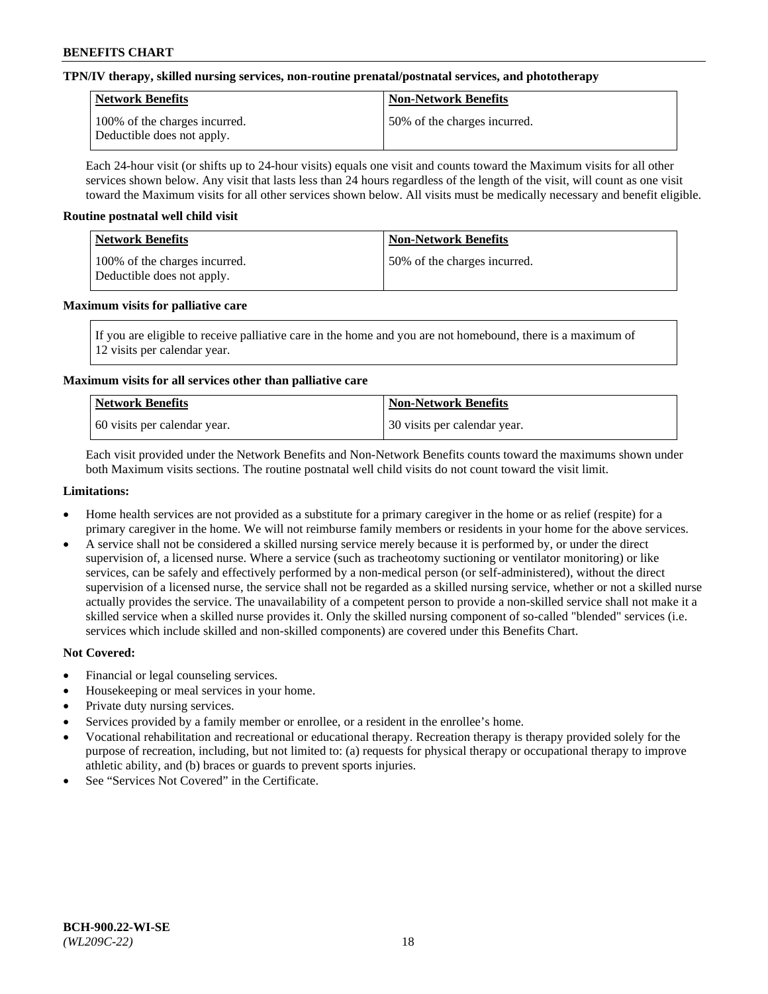## **TPN/IV therapy, skilled nursing services, non-routine prenatal/postnatal services, and phototherapy**

| <b>Network Benefits</b>                                     | <b>Non-Network Benefits</b>  |
|-------------------------------------------------------------|------------------------------|
| 100% of the charges incurred.<br>Deductible does not apply. | 50% of the charges incurred. |

Each 24-hour visit (or shifts up to 24-hour visits) equals one visit and counts toward the Maximum visits for all other services shown below. Any visit that lasts less than 24 hours regardless of the length of the visit, will count as one visit toward the Maximum visits for all other services shown below. All visits must be medically necessary and benefit eligible.

### **Routine postnatal well child visit**

| Network Benefits                                            | <b>Non-Network Benefits</b>  |
|-------------------------------------------------------------|------------------------------|
| 100% of the charges incurred.<br>Deductible does not apply. | 50% of the charges incurred. |

### **Maximum visits for palliative care**

If you are eligible to receive palliative care in the home and you are not homebound, there is a maximum of 12 visits per calendar year.

## **Maximum visits for all services other than palliative care**

| Network Benefits               | <b>Non-Network Benefits</b>  |
|--------------------------------|------------------------------|
| 1.60 visits per calendar year. | 30 visits per calendar year. |

Each visit provided under the Network Benefits and Non-Network Benefits counts toward the maximums shown under both Maximum visits sections. The routine postnatal well child visits do not count toward the visit limit.

### **Limitations:**

- Home health services are not provided as a substitute for a primary caregiver in the home or as relief (respite) for a primary caregiver in the home. We will not reimburse family members or residents in your home for the above services.
- A service shall not be considered a skilled nursing service merely because it is performed by, or under the direct supervision of, a licensed nurse. Where a service (such as tracheotomy suctioning or ventilator monitoring) or like services, can be safely and effectively performed by a non-medical person (or self-administered), without the direct supervision of a licensed nurse, the service shall not be regarded as a skilled nursing service, whether or not a skilled nurse actually provides the service. The unavailability of a competent person to provide a non-skilled service shall not make it a skilled service when a skilled nurse provides it. Only the skilled nursing component of so-called "blended" services (i.e. services which include skilled and non-skilled components) are covered under this Benefits Chart.

- Financial or legal counseling services.
- Housekeeping or meal services in your home.
- Private duty nursing services.
- Services provided by a family member or enrollee, or a resident in the enrollee's home.
- Vocational rehabilitation and recreational or educational therapy. Recreation therapy is therapy provided solely for the purpose of recreation, including, but not limited to: (a) requests for physical therapy or occupational therapy to improve athletic ability, and (b) braces or guards to prevent sports injuries.
- See "Services Not Covered" in the Certificate.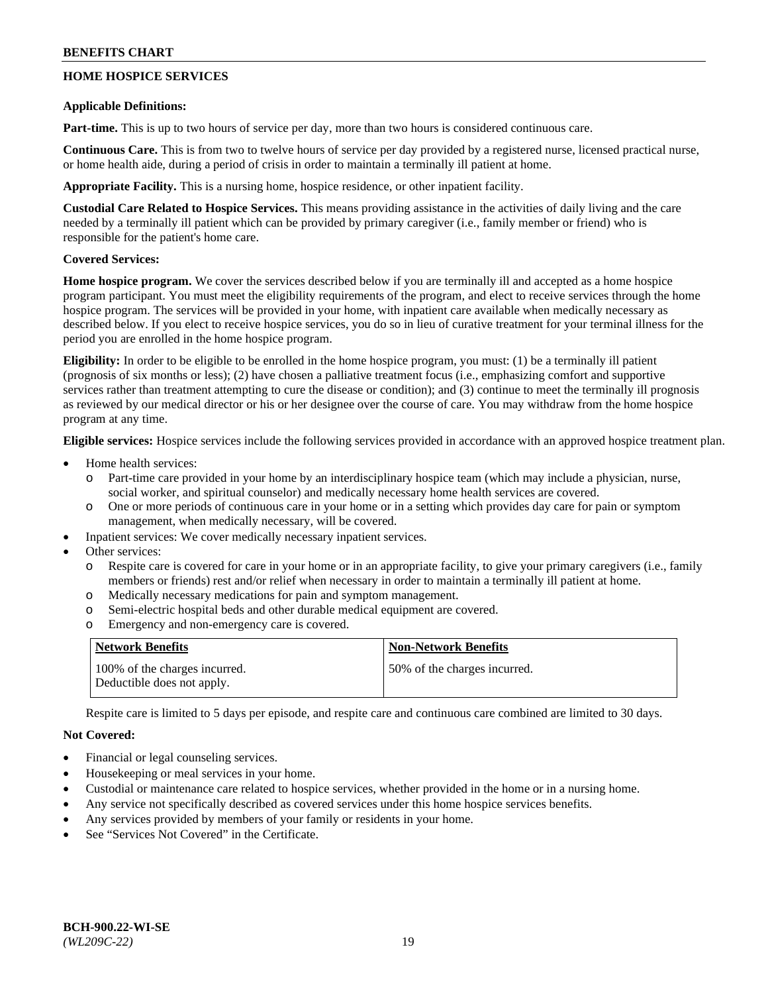## **HOME HOSPICE SERVICES**

### **Applicable Definitions:**

**Part-time.** This is up to two hours of service per day, more than two hours is considered continuous care.

**Continuous Care.** This is from two to twelve hours of service per day provided by a registered nurse, licensed practical nurse, or home health aide, during a period of crisis in order to maintain a terminally ill patient at home.

**Appropriate Facility.** This is a nursing home, hospice residence, or other inpatient facility.

**Custodial Care Related to Hospice Services.** This means providing assistance in the activities of daily living and the care needed by a terminally ill patient which can be provided by primary caregiver (i.e., family member or friend) who is responsible for the patient's home care.

## **Covered Services:**

**Home hospice program.** We cover the services described below if you are terminally ill and accepted as a home hospice program participant. You must meet the eligibility requirements of the program, and elect to receive services through the home hospice program. The services will be provided in your home, with inpatient care available when medically necessary as described below. If you elect to receive hospice services, you do so in lieu of curative treatment for your terminal illness for the period you are enrolled in the home hospice program.

**Eligibility:** In order to be eligible to be enrolled in the home hospice program, you must: (1) be a terminally ill patient (prognosis of six months or less); (2) have chosen a palliative treatment focus (i.e., emphasizing comfort and supportive services rather than treatment attempting to cure the disease or condition); and (3) continue to meet the terminally ill prognosis as reviewed by our medical director or his or her designee over the course of care. You may withdraw from the home hospice program at any time.

**Eligible services:** Hospice services include the following services provided in accordance with an approved hospice treatment plan.

- Home health services:
	- o Part-time care provided in your home by an interdisciplinary hospice team (which may include a physician, nurse, social worker, and spiritual counselor) and medically necessary home health services are covered.
	- o One or more periods of continuous care in your home or in a setting which provides day care for pain or symptom management, when medically necessary, will be covered.
	- Inpatient services: We cover medically necessary inpatient services.
- Other services:
	- Respite care is covered for care in your home or in an appropriate facility, to give your primary caregivers (i.e., family members or friends) rest and/or relief when necessary in order to maintain a terminally ill patient at home.
	- o Medically necessary medications for pain and symptom management.
	- o Semi-electric hospital beds and other durable medical equipment are covered.
	- o Emergency and non-emergency care is covered.

| Network Benefits                                            | <b>Non-Network Benefits</b>  |
|-------------------------------------------------------------|------------------------------|
| 100% of the charges incurred.<br>Deductible does not apply. | 50% of the charges incurred. |

Respite care is limited to 5 days per episode, and respite care and continuous care combined are limited to 30 days.

- Financial or legal counseling services.
- Housekeeping or meal services in your home.
- Custodial or maintenance care related to hospice services, whether provided in the home or in a nursing home.
- Any service not specifically described as covered services under this home hospice services benefits.
- Any services provided by members of your family or residents in your home.
- See "Services Not Covered" in the Certificate.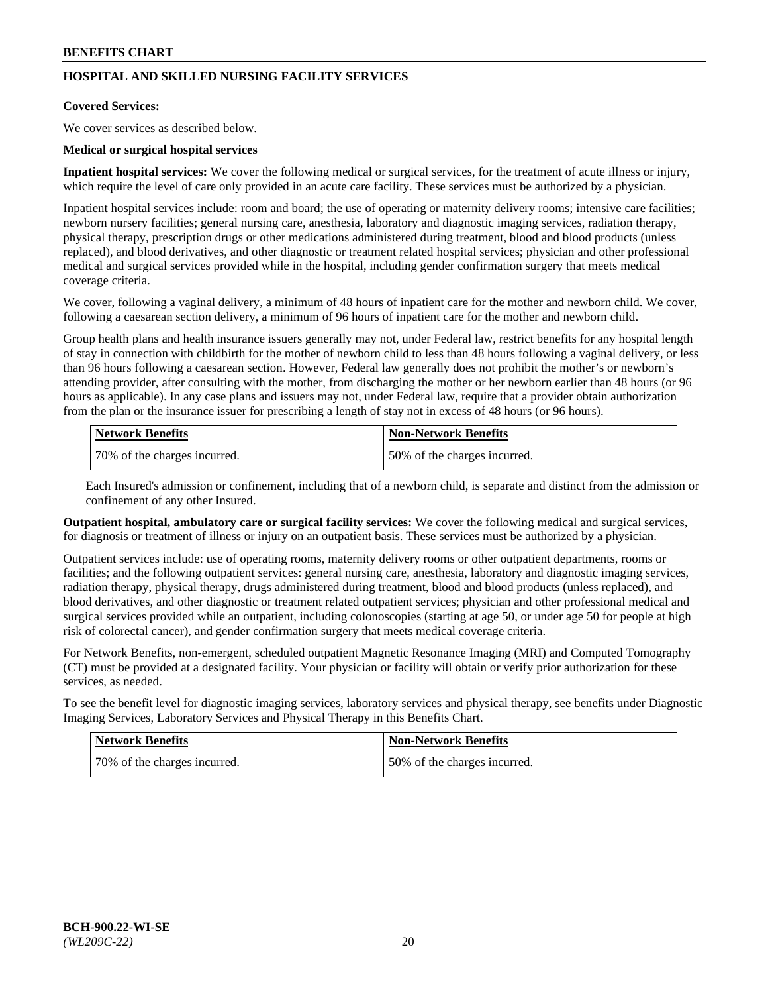## **HOSPITAL AND SKILLED NURSING FACILITY SERVICES**

#### **Covered Services:**

We cover services as described below.

### **Medical or surgical hospital services**

**Inpatient hospital services:** We cover the following medical or surgical services, for the treatment of acute illness or injury, which require the level of care only provided in an acute care facility. These services must be authorized by a physician.

Inpatient hospital services include: room and board; the use of operating or maternity delivery rooms; intensive care facilities; newborn nursery facilities; general nursing care, anesthesia, laboratory and diagnostic imaging services, radiation therapy, physical therapy, prescription drugs or other medications administered during treatment, blood and blood products (unless replaced), and blood derivatives, and other diagnostic or treatment related hospital services; physician and other professional medical and surgical services provided while in the hospital, including gender confirmation surgery that meets medical coverage criteria.

We cover, following a vaginal delivery, a minimum of 48 hours of inpatient care for the mother and newborn child. We cover, following a caesarean section delivery, a minimum of 96 hours of inpatient care for the mother and newborn child.

Group health plans and health insurance issuers generally may not, under Federal law, restrict benefits for any hospital length of stay in connection with childbirth for the mother of newborn child to less than 48 hours following a vaginal delivery, or less than 96 hours following a caesarean section. However, Federal law generally does not prohibit the mother's or newborn's attending provider, after consulting with the mother, from discharging the mother or her newborn earlier than 48 hours (or 96 hours as applicable). In any case plans and issuers may not, under Federal law, require that a provider obtain authorization from the plan or the insurance issuer for prescribing a length of stay not in excess of 48 hours (or 96 hours).

| <b>Network Benefits</b>      | Non-Network Benefits         |
|------------------------------|------------------------------|
| 70% of the charges incurred. | 50% of the charges incurred. |

Each Insured's admission or confinement, including that of a newborn child, is separate and distinct from the admission or confinement of any other Insured.

**Outpatient hospital, ambulatory care or surgical facility services:** We cover the following medical and surgical services, for diagnosis or treatment of illness or injury on an outpatient basis. These services must be authorized by a physician.

Outpatient services include: use of operating rooms, maternity delivery rooms or other outpatient departments, rooms or facilities; and the following outpatient services: general nursing care, anesthesia, laboratory and diagnostic imaging services, radiation therapy, physical therapy, drugs administered during treatment, blood and blood products (unless replaced), and blood derivatives, and other diagnostic or treatment related outpatient services; physician and other professional medical and surgical services provided while an outpatient, including colonoscopies (starting at age 50, or under age 50 for people at high risk of colorectal cancer), and gender confirmation surgery that meets medical coverage criteria.

For Network Benefits, non-emergent, scheduled outpatient Magnetic Resonance Imaging (MRI) and Computed Tomography (CT) must be provided at a designated facility. Your physician or facility will obtain or verify prior authorization for these services, as needed.

To see the benefit level for diagnostic imaging services, laboratory services and physical therapy, see benefits under Diagnostic Imaging Services, Laboratory Services and Physical Therapy in this Benefits Chart.

| <b>Network Benefits</b>      | <b>Non-Network Benefits</b>   |
|------------------------------|-------------------------------|
| 70% of the charges incurred. | 150% of the charges incurred. |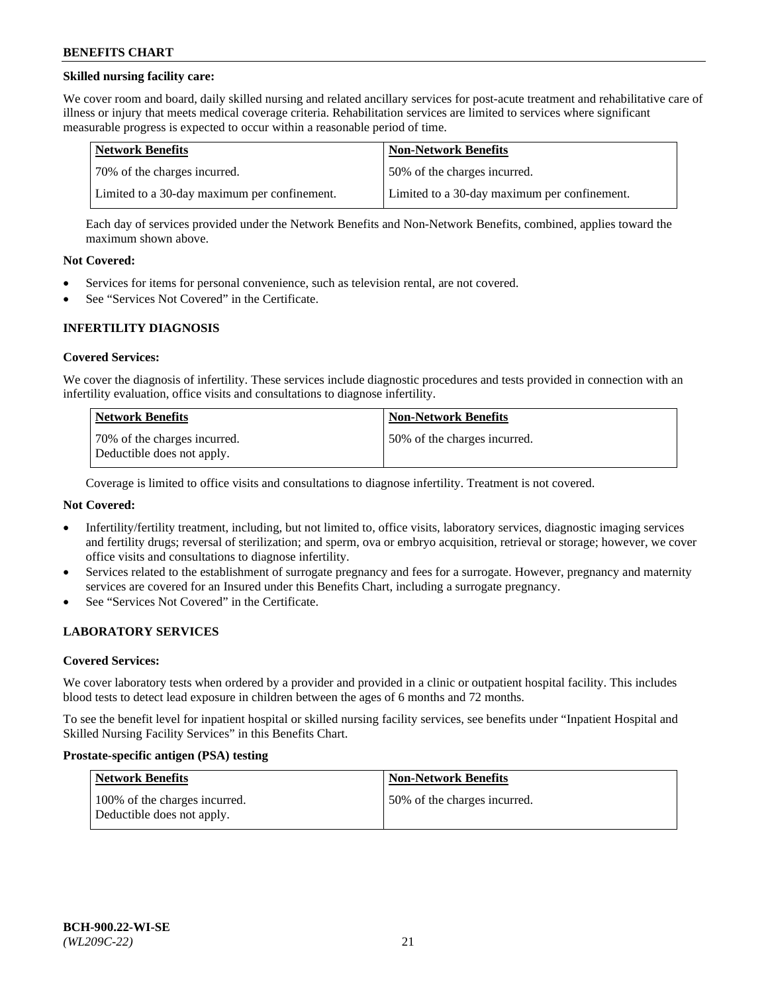## **Skilled nursing facility care:**

We cover room and board, daily skilled nursing and related ancillary services for post-acute treatment and rehabilitative care of illness or injury that meets medical coverage criteria. Rehabilitation services are limited to services where significant measurable progress is expected to occur within a reasonable period of time.

| Network Benefits                             | <b>Non-Network Benefits</b>                  |
|----------------------------------------------|----------------------------------------------|
| 170% of the charges incurred.                | 50% of the charges incurred.                 |
| Limited to a 30-day maximum per confinement. | Limited to a 30-day maximum per confinement. |

Each day of services provided under the Network Benefits and Non-Network Benefits, combined, applies toward the maximum shown above.

### **Not Covered:**

- Services for items for personal convenience, such as television rental, are not covered.
- See "Services Not Covered" in the Certificate.

### **INFERTILITY DIAGNOSIS**

#### **Covered Services:**

We cover the diagnosis of infertility. These services include diagnostic procedures and tests provided in connection with an infertility evaluation, office visits and consultations to diagnose infertility.

| <b>Network Benefits</b>                                    | <b>Non-Network Benefits</b>  |
|------------------------------------------------------------|------------------------------|
| 70% of the charges incurred.<br>Deductible does not apply. | 50% of the charges incurred. |

Coverage is limited to office visits and consultations to diagnose infertility. Treatment is not covered.

## **Not Covered:**

- Infertility/fertility treatment, including, but not limited to, office visits, laboratory services, diagnostic imaging services and fertility drugs; reversal of sterilization; and sperm, ova or embryo acquisition, retrieval or storage; however, we cover office visits and consultations to diagnose infertility.
- Services related to the establishment of surrogate pregnancy and fees for a surrogate. However, pregnancy and maternity services are covered for an Insured under this Benefits Chart, including a surrogate pregnancy.
- See "Services Not Covered" in the Certificate.

## **LABORATORY SERVICES**

#### **Covered Services:**

We cover laboratory tests when ordered by a provider and provided in a clinic or outpatient hospital facility. This includes blood tests to detect lead exposure in children between the ages of 6 months and 72 months.

To see the benefit level for inpatient hospital or skilled nursing facility services, see benefits under "Inpatient Hospital and Skilled Nursing Facility Services" in this Benefits Chart.

#### **Prostate-specific antigen (PSA) testing**

| Network Benefits                                            | <b>Non-Network Benefits</b>  |
|-------------------------------------------------------------|------------------------------|
| 100% of the charges incurred.<br>Deductible does not apply. | 50% of the charges incurred. |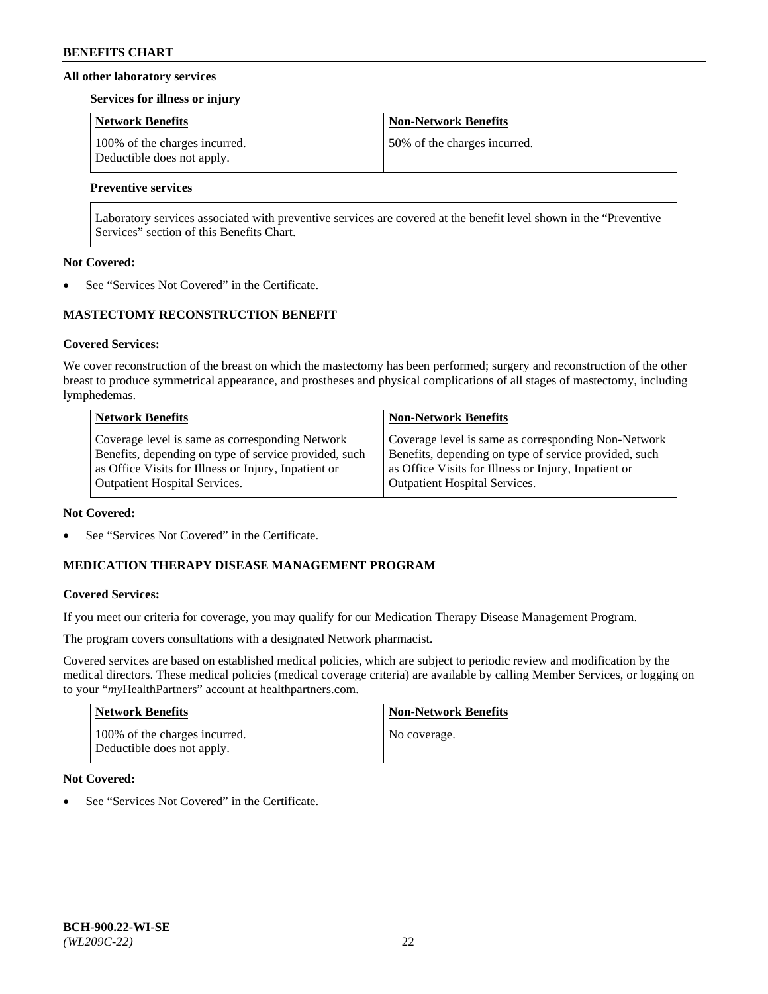### **All other laboratory services**

#### **Services for illness or injury**

| <b>Network Benefits</b>                                     | <b>Non-Network Benefits</b>  |
|-------------------------------------------------------------|------------------------------|
| 100% of the charges incurred.<br>Deductible does not apply. | 50% of the charges incurred. |

## **Preventive services**

Laboratory services associated with preventive services are covered at the benefit level shown in the "Preventive Services" section of this Benefits Chart.

### **Not Covered:**

See "Services Not Covered" in the Certificate.

## **MASTECTOMY RECONSTRUCTION BENEFIT**

### **Covered Services:**

We cover reconstruction of the breast on which the mastectomy has been performed; surgery and reconstruction of the other breast to produce symmetrical appearance, and prostheses and physical complications of all stages of mastectomy, including lymphedemas.

| <b>Network Benefits</b>                               | <b>Non-Network Benefits</b>                           |
|-------------------------------------------------------|-------------------------------------------------------|
| Coverage level is same as corresponding Network       | Coverage level is same as corresponding Non-Network   |
| Benefits, depending on type of service provided, such | Benefits, depending on type of service provided, such |
| as Office Visits for Illness or Injury, Inpatient or  | as Office Visits for Illness or Injury, Inpatient or  |
| <b>Outpatient Hospital Services.</b>                  | Outpatient Hospital Services.                         |

#### **Not Covered:**

See "Services Not Covered" in the Certificate.

## **MEDICATION THERAPY DISEASE MANAGEMENT PROGRAM**

## **Covered Services:**

If you meet our criteria for coverage, you may qualify for our Medication Therapy Disease Management Program.

The program covers consultations with a designated Network pharmacist.

Covered services are based on established medical policies, which are subject to periodic review and modification by the medical directors. These medical policies (medical coverage criteria) are available by calling Member Services, or logging on to your "*my*HealthPartners" account at [healthpartners.com.](http://www.healthpartners.com/)

| Network Benefits                                            | <b>Non-Network Benefits</b> |
|-------------------------------------------------------------|-----------------------------|
| 100% of the charges incurred.<br>Deductible does not apply. | No coverage.                |

## **Not Covered:**

See "Services Not Covered" in the Certificate.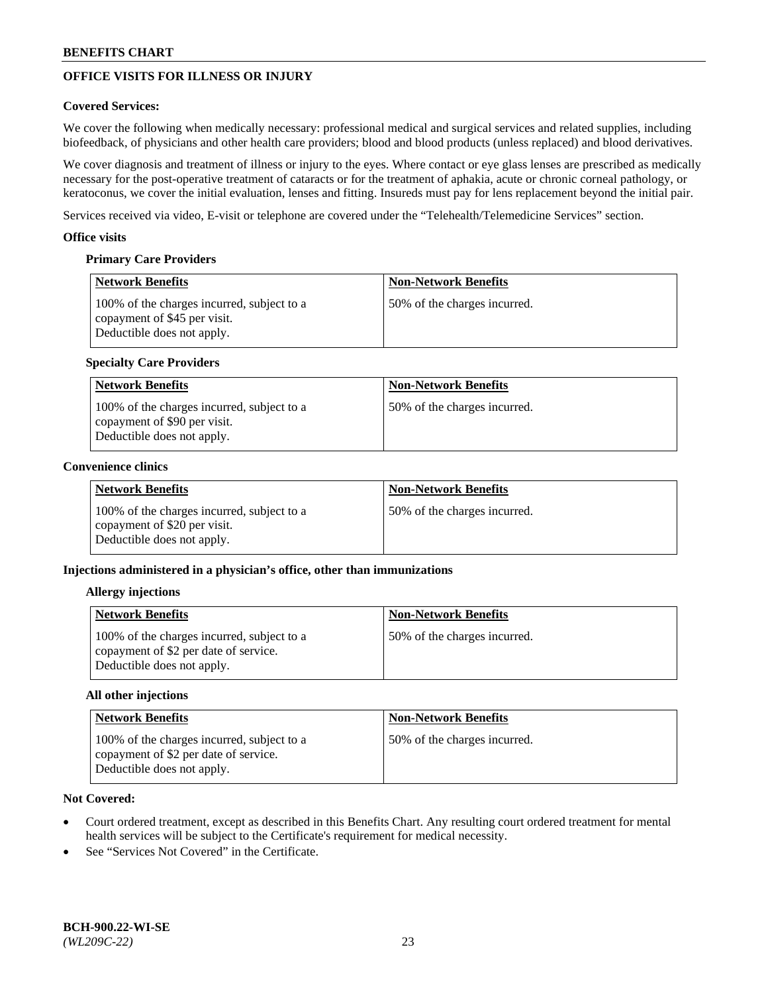# **OFFICE VISITS FOR ILLNESS OR INJURY**

## **Covered Services:**

We cover the following when medically necessary: professional medical and surgical services and related supplies, including biofeedback, of physicians and other health care providers; blood and blood products (unless replaced) and blood derivatives.

We cover diagnosis and treatment of illness or injury to the eyes. Where contact or eye glass lenses are prescribed as medically necessary for the post-operative treatment of cataracts or for the treatment of aphakia, acute or chronic corneal pathology, or keratoconus, we cover the initial evaluation, lenses and fitting. Insureds must pay for lens replacement beyond the initial pair.

Services received via video, E-visit or telephone are covered under the "Telehealth/Telemedicine Services" section.

### **Office visits**

## **Primary Care Providers**

| <b>Network Benefits</b>                                                                                  | <b>Non-Network Benefits</b>  |
|----------------------------------------------------------------------------------------------------------|------------------------------|
| 100% of the charges incurred, subject to a<br>copayment of \$45 per visit.<br>Deductible does not apply. | 50% of the charges incurred. |

## **Specialty Care Providers**

| Network Benefits                                                                                         | <b>Non-Network Benefits</b>  |
|----------------------------------------------------------------------------------------------------------|------------------------------|
| 100% of the charges incurred, subject to a<br>copayment of \$90 per visit.<br>Deductible does not apply. | 50% of the charges incurred. |

## **Convenience clinics**

| <b>Network Benefits</b>                                                                                  | <b>Non-Network Benefits</b>  |
|----------------------------------------------------------------------------------------------------------|------------------------------|
| 100% of the charges incurred, subject to a<br>copayment of \$20 per visit.<br>Deductible does not apply. | 50% of the charges incurred. |

## **Injections administered in a physician's office, other than immunizations**

#### **Allergy injections**

| <b>Network Benefits</b>                                                                                           | <b>Non-Network Benefits</b>  |
|-------------------------------------------------------------------------------------------------------------------|------------------------------|
| 100% of the charges incurred, subject to a<br>copayment of \$2 per date of service.<br>Deductible does not apply. | 50% of the charges incurred. |

#### **All other injections**

| Network Benefits                                                                                                  | <b>Non-Network Benefits</b>  |
|-------------------------------------------------------------------------------------------------------------------|------------------------------|
| 100% of the charges incurred, subject to a<br>copayment of \$2 per date of service.<br>Deductible does not apply. | 50% of the charges incurred. |

- Court ordered treatment, except as described in this Benefits Chart. Any resulting court ordered treatment for mental health services will be subject to the Certificate's requirement for medical necessity.
- See "Services Not Covered" in the Certificate.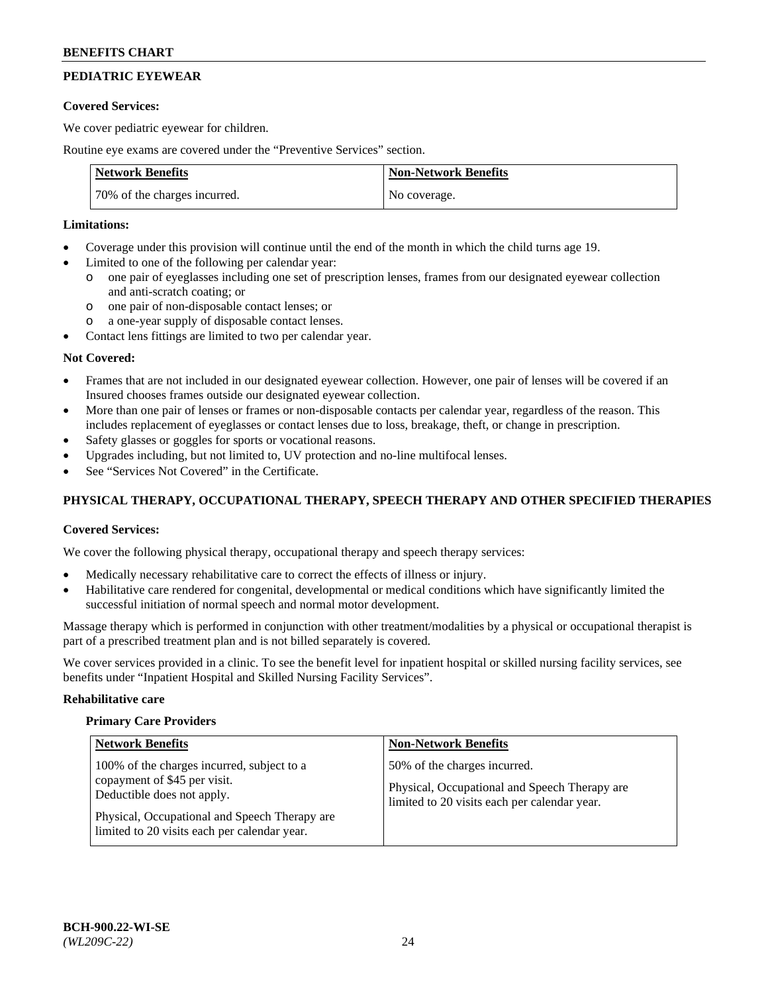# **PEDIATRIC EYEWEAR**

### **Covered Services:**

We cover pediatric eyewear for children.

Routine eye exams are covered under the "Preventive Services" section.

| <b>Network Benefits</b>      | <b>Non-Network Benefits</b> |
|------------------------------|-----------------------------|
| 70% of the charges incurred. | No coverage.                |

### **Limitations:**

- Coverage under this provision will continue until the end of the month in which the child turns age 19.
- Limited to one of the following per calendar year:
	- o one pair of eyeglasses including one set of prescription lenses, frames from our designated eyewear collection and anti-scratch coating; or
	- o one pair of non-disposable contact lenses; or
	- o a one-year supply of disposable contact lenses.
- Contact lens fittings are limited to two per calendar year.

## **Not Covered:**

- Frames that are not included in our designated eyewear collection. However, one pair of lenses will be covered if an Insured chooses frames outside our designated eyewear collection.
- More than one pair of lenses or frames or non-disposable contacts per calendar year, regardless of the reason. This includes replacement of eyeglasses or contact lenses due to loss, breakage, theft, or change in prescription.
- Safety glasses or goggles for sports or vocational reasons.
- Upgrades including, but not limited to, UV protection and no-line multifocal lenses.
- See "Services Not Covered" in the Certificate.

## **PHYSICAL THERAPY, OCCUPATIONAL THERAPY, SPEECH THERAPY AND OTHER SPECIFIED THERAPIES**

## **Covered Services:**

We cover the following physical therapy, occupational therapy and speech therapy services:

- Medically necessary rehabilitative care to correct the effects of illness or injury.
- Habilitative care rendered for congenital, developmental or medical conditions which have significantly limited the successful initiation of normal speech and normal motor development.

Massage therapy which is performed in conjunction with other treatment/modalities by a physical or occupational therapist is part of a prescribed treatment plan and is not billed separately is covered.

We cover services provided in a clinic. To see the benefit level for inpatient hospital or skilled nursing facility services, see benefits under "Inpatient Hospital and Skilled Nursing Facility Services".

#### **Rehabilitative care**

#### **Primary Care Providers**

| <b>Network Benefits</b>                                                                                                                                   | <b>Non-Network Benefits</b>                                                                                                   |
|-----------------------------------------------------------------------------------------------------------------------------------------------------------|-------------------------------------------------------------------------------------------------------------------------------|
| 100% of the charges incurred, subject to a<br>copayment of \$45 per visit.<br>Deductible does not apply.<br>Physical, Occupational and Speech Therapy are | 50% of the charges incurred.<br>Physical, Occupational and Speech Therapy are<br>limited to 20 visits each per calendar year. |
| limited to 20 visits each per calendar year.                                                                                                              |                                                                                                                               |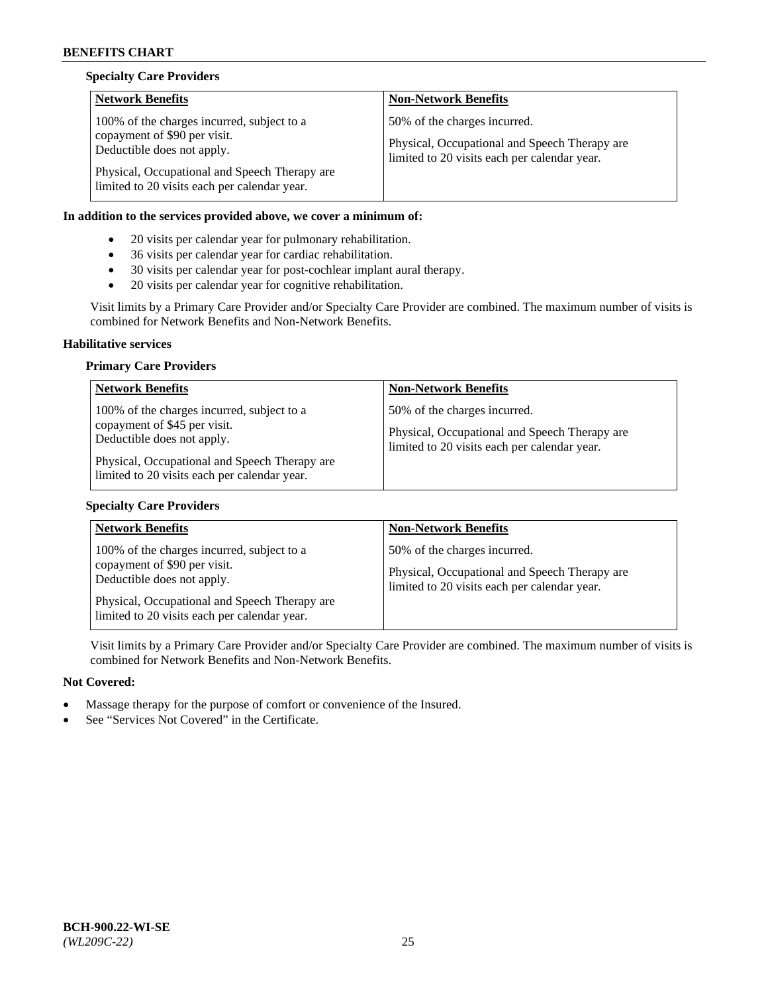## **Specialty Care Providers**

| <b>Network Benefits</b>                                                                                                                                                                                   | <b>Non-Network Benefits</b>                                                                                                   |
|-----------------------------------------------------------------------------------------------------------------------------------------------------------------------------------------------------------|-------------------------------------------------------------------------------------------------------------------------------|
| 100% of the charges incurred, subject to a<br>copayment of \$90 per visit.<br>Deductible does not apply.<br>Physical, Occupational and Speech Therapy are<br>limited to 20 visits each per calendar year. | 50% of the charges incurred.<br>Physical, Occupational and Speech Therapy are<br>limited to 20 visits each per calendar year. |

## **In addition to the services provided above, we cover a minimum of:**

- 20 visits per calendar year for pulmonary rehabilitation.
- 36 visits per calendar year for cardiac rehabilitation.
- 30 visits per calendar year for post-cochlear implant aural therapy.
- 20 visits per calendar year for cognitive rehabilitation.

Visit limits by a Primary Care Provider and/or Specialty Care Provider are combined. The maximum number of visits is combined for Network Benefits and Non-Network Benefits.

#### **Habilitative services**

### **Primary Care Providers**

| <b>Network Benefits</b>                                                                                                                                                                                   | <b>Non-Network Benefits</b>                                                                                                   |
|-----------------------------------------------------------------------------------------------------------------------------------------------------------------------------------------------------------|-------------------------------------------------------------------------------------------------------------------------------|
| 100% of the charges incurred, subject to a<br>copayment of \$45 per visit.<br>Deductible does not apply.<br>Physical, Occupational and Speech Therapy are<br>limited to 20 visits each per calendar year. | 50% of the charges incurred.<br>Physical, Occupational and Speech Therapy are<br>limited to 20 visits each per calendar year. |

## **Specialty Care Providers**

| <b>Network Benefits</b>                                                                                  | <b>Non-Network Benefits</b>                                                                                                   |
|----------------------------------------------------------------------------------------------------------|-------------------------------------------------------------------------------------------------------------------------------|
| 100% of the charges incurred, subject to a<br>copayment of \$90 per visit.<br>Deductible does not apply. | 50% of the charges incurred.<br>Physical, Occupational and Speech Therapy are<br>limited to 20 visits each per calendar year. |
| Physical, Occupational and Speech Therapy are<br>limited to 20 visits each per calendar year.            |                                                                                                                               |

Visit limits by a Primary Care Provider and/or Specialty Care Provider are combined. The maximum number of visits is combined for Network Benefits and Non-Network Benefits.

- Massage therapy for the purpose of comfort or convenience of the Insured.
- See "Services Not Covered" in the Certificate.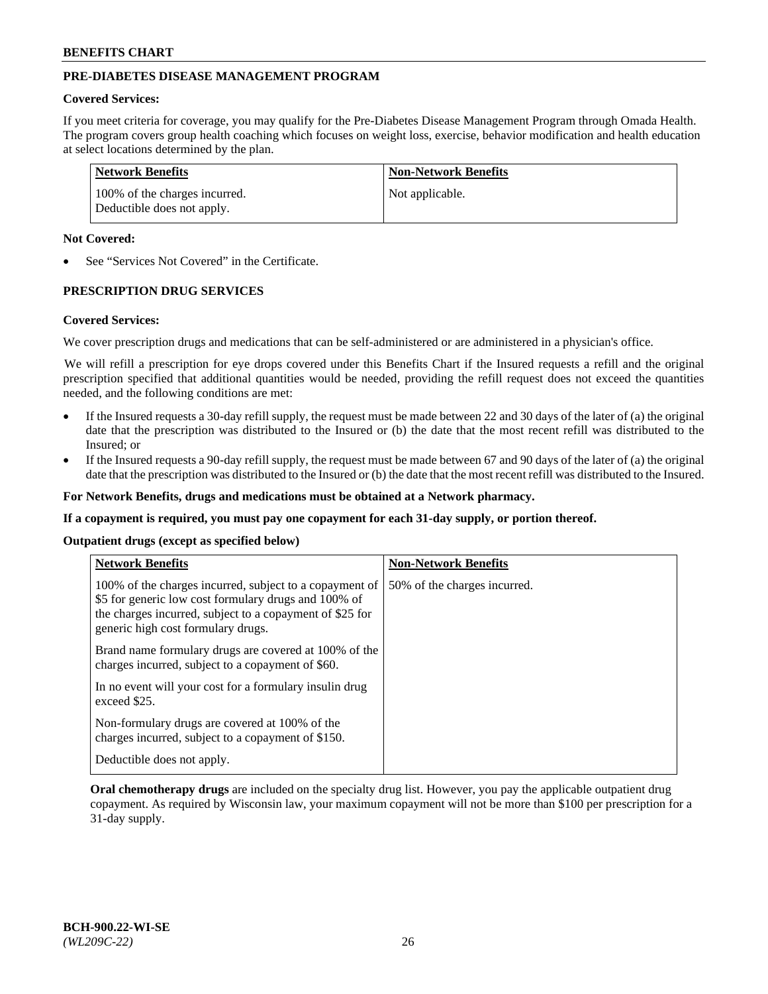## **PRE-DIABETES DISEASE MANAGEMENT PROGRAM**

### **Covered Services:**

If you meet criteria for coverage, you may qualify for the Pre-Diabetes Disease Management Program through Omada Health. The program covers group health coaching which focuses on weight loss, exercise, behavior modification and health education at select locations determined by the plan.

| <b>Network Benefits</b>                                     | <b>Non-Network Benefits</b> |
|-------------------------------------------------------------|-----------------------------|
| 100% of the charges incurred.<br>Deductible does not apply. | Not applicable.             |

### **Not Covered:**

See "Services Not Covered" in the Certificate.

## **PRESCRIPTION DRUG SERVICES**

#### **Covered Services:**

We cover prescription drugs and medications that can be self-administered or are administered in a physician's office.

We will refill a prescription for eye drops covered under this Benefits Chart if the Insured requests a refill and the original prescription specified that additional quantities would be needed, providing the refill request does not exceed the quantities needed, and the following conditions are met:

- If the Insured requests a 30-day refill supply, the request must be made between 22 and 30 days of the later of (a) the original date that the prescription was distributed to the Insured or (b) the date that the most recent refill was distributed to the Insured; or
- If the Insured requests a 90-day refill supply, the request must be made between 67 and 90 days of the later of (a) the original date that the prescription was distributed to the Insured or (b) the date that the most recent refill was distributed to the Insured.

**For Network Benefits, drugs and medications must be obtained at a Network pharmacy.**

**If a copayment is required, you must pay one copayment for each 31-day supply, or portion thereof.**

**Outpatient drugs (except as specified below)**

| <b>Network Benefits</b>                                                                                                                                                                                           | <b>Non-Network Benefits</b>  |
|-------------------------------------------------------------------------------------------------------------------------------------------------------------------------------------------------------------------|------------------------------|
| 100% of the charges incurred, subject to a copayment of<br>\$5 for generic low cost formulary drugs and 100% of<br>the charges incurred, subject to a copayment of \$25 for<br>generic high cost formulary drugs. | 50% of the charges incurred. |
| Brand name formulary drugs are covered at 100% of the<br>charges incurred, subject to a copayment of \$60.                                                                                                        |                              |
| In no event will your cost for a formulary insulin drug<br>exceed \$25.                                                                                                                                           |                              |
| Non-formulary drugs are covered at 100% of the<br>charges incurred, subject to a copayment of \$150.                                                                                                              |                              |
| Deductible does not apply.                                                                                                                                                                                        |                              |

**Oral chemotherapy drugs** are included on the specialty drug list. However, you pay the applicable outpatient drug copayment. As required by Wisconsin law, your maximum copayment will not be more than \$100 per prescription for a 31-day supply.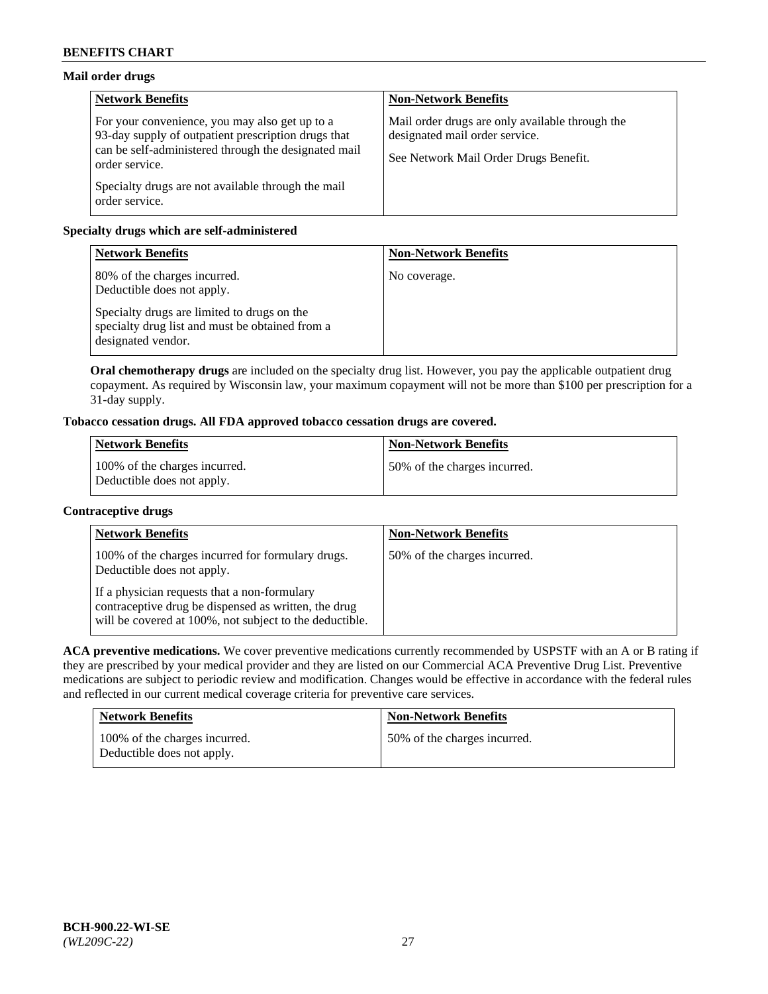## **Mail order drugs**

| <b>Network Benefits</b>                                                                                                                                                         | <b>Non-Network Benefits</b>                                                                                                |
|---------------------------------------------------------------------------------------------------------------------------------------------------------------------------------|----------------------------------------------------------------------------------------------------------------------------|
| For your convenience, you may also get up to a<br>93-day supply of outpatient prescription drugs that<br>can be self-administered through the designated mail<br>order service. | Mail order drugs are only available through the<br>designated mail order service.<br>See Network Mail Order Drugs Benefit. |
| Specialty drugs are not available through the mail<br>order service.                                                                                                            |                                                                                                                            |

## **Specialty drugs which are self-administered**

| <b>Network Benefits</b>                                                                                              | <b>Non-Network Benefits</b> |
|----------------------------------------------------------------------------------------------------------------------|-----------------------------|
| 80% of the charges incurred.<br>Deductible does not apply.                                                           | No coverage.                |
| Specialty drugs are limited to drugs on the<br>specialty drug list and must be obtained from a<br>designated vendor. |                             |

**Oral chemotherapy drugs** are included on the specialty drug list. However, you pay the applicable outpatient drug copayment. As required by Wisconsin law, your maximum copayment will not be more than \$100 per prescription for a 31-day supply.

# **Tobacco cessation drugs. All FDA approved tobacco cessation drugs are covered.**

| <b>Network Benefits</b>                                     | <b>Non-Network Benefits</b>  |
|-------------------------------------------------------------|------------------------------|
| 100% of the charges incurred.<br>Deductible does not apply. | 50% of the charges incurred. |

## **Contraceptive drugs**

| <b>Network Benefits</b>                                                                                                                                         | <b>Non-Network Benefits</b>  |
|-----------------------------------------------------------------------------------------------------------------------------------------------------------------|------------------------------|
| 100% of the charges incurred for formulary drugs.<br>Deductible does not apply.                                                                                 | 50% of the charges incurred. |
| If a physician requests that a non-formulary<br>contraceptive drug be dispensed as written, the drug<br>will be covered at 100%, not subject to the deductible. |                              |

**ACA preventive medications.** We cover preventive medications currently recommended by USPSTF with an A or B rating if they are prescribed by your medical provider and they are listed on our Commercial ACA Preventive Drug List. Preventive medications are subject to periodic review and modification. Changes would be effective in accordance with the federal rules and reflected in our current medical coverage criteria for preventive care services.

| <b>Network Benefits</b>                                     | <b>Non-Network Benefits</b>  |
|-------------------------------------------------------------|------------------------------|
| 100% of the charges incurred.<br>Deductible does not apply. | 50% of the charges incurred. |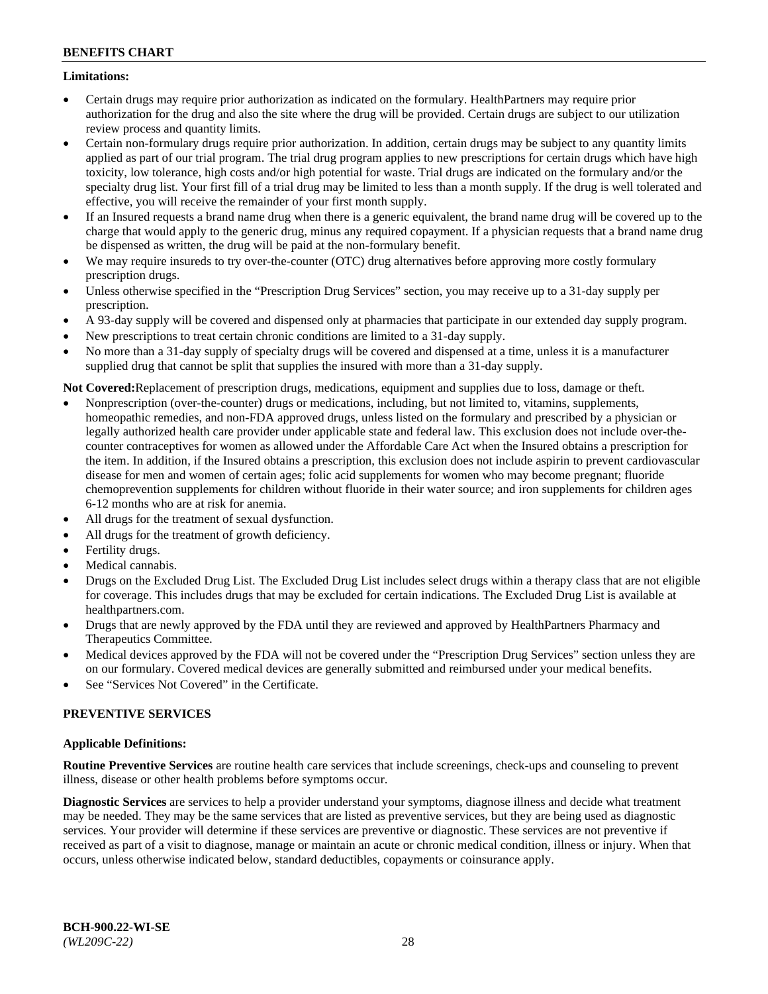## **Limitations:**

- Certain drugs may require prior authorization as indicated on the formulary. HealthPartners may require prior authorization for the drug and also the site where the drug will be provided. Certain drugs are subject to our utilization review process and quantity limits.
- Certain non-formulary drugs require prior authorization. In addition, certain drugs may be subject to any quantity limits applied as part of our trial program. The trial drug program applies to new prescriptions for certain drugs which have high toxicity, low tolerance, high costs and/or high potential for waste. Trial drugs are indicated on the formulary and/or the specialty drug list. Your first fill of a trial drug may be limited to less than a month supply. If the drug is well tolerated and effective, you will receive the remainder of your first month supply.
- If an Insured requests a brand name drug when there is a generic equivalent, the brand name drug will be covered up to the charge that would apply to the generic drug, minus any required copayment. If a physician requests that a brand name drug be dispensed as written, the drug will be paid at the non-formulary benefit.
- We may require insureds to try over-the-counter (OTC) drug alternatives before approving more costly formulary prescription drugs.
- Unless otherwise specified in the "Prescription Drug Services" section, you may receive up to a 31-day supply per prescription.
- A 93-day supply will be covered and dispensed only at pharmacies that participate in our extended day supply program.
- New prescriptions to treat certain chronic conditions are limited to a 31-day supply.
- No more than a 31-day supply of specialty drugs will be covered and dispensed at a time, unless it is a manufacturer supplied drug that cannot be split that supplies the insured with more than a 31-day supply.

**Not Covered:**Replacement of prescription drugs, medications, equipment and supplies due to loss, damage or theft.

- Nonprescription (over-the-counter) drugs or medications, including, but not limited to, vitamins, supplements, homeopathic remedies, and non-FDA approved drugs, unless listed on the formulary and prescribed by a physician or legally authorized health care provider under applicable state and federal law. This exclusion does not include over-thecounter contraceptives for women as allowed under the Affordable Care Act when the Insured obtains a prescription for the item. In addition, if the Insured obtains a prescription, this exclusion does not include aspirin to prevent cardiovascular disease for men and women of certain ages; folic acid supplements for women who may become pregnant; fluoride chemoprevention supplements for children without fluoride in their water source; and iron supplements for children ages 6-12 months who are at risk for anemia.
- All drugs for the treatment of sexual dysfunction.
- All drugs for the treatment of growth deficiency.
- Fertility drugs.
- Medical cannabis.
- Drugs on the Excluded Drug List. The Excluded Drug List includes select drugs within a therapy class that are not eligible for coverage. This includes drugs that may be excluded for certain indications. The Excluded Drug List is available at [healthpartners.com.](http://www.healthpartners.com/)
- Drugs that are newly approved by the FDA until they are reviewed and approved by HealthPartners Pharmacy and Therapeutics Committee.
- Medical devices approved by the FDA will not be covered under the "Prescription Drug Services" section unless they are on our formulary. Covered medical devices are generally submitted and reimbursed under your medical benefits.
- See "Services Not Covered" in the Certificate.

# **PREVENTIVE SERVICES**

## **Applicable Definitions:**

**Routine Preventive Services** are routine health care services that include screenings, check-ups and counseling to prevent illness, disease or other health problems before symptoms occur.

**Diagnostic Services** are services to help a provider understand your symptoms, diagnose illness and decide what treatment may be needed. They may be the same services that are listed as preventive services, but they are being used as diagnostic services. Your provider will determine if these services are preventive or diagnostic. These services are not preventive if received as part of a visit to diagnose, manage or maintain an acute or chronic medical condition, illness or injury. When that occurs, unless otherwise indicated below, standard deductibles, copayments or coinsurance apply.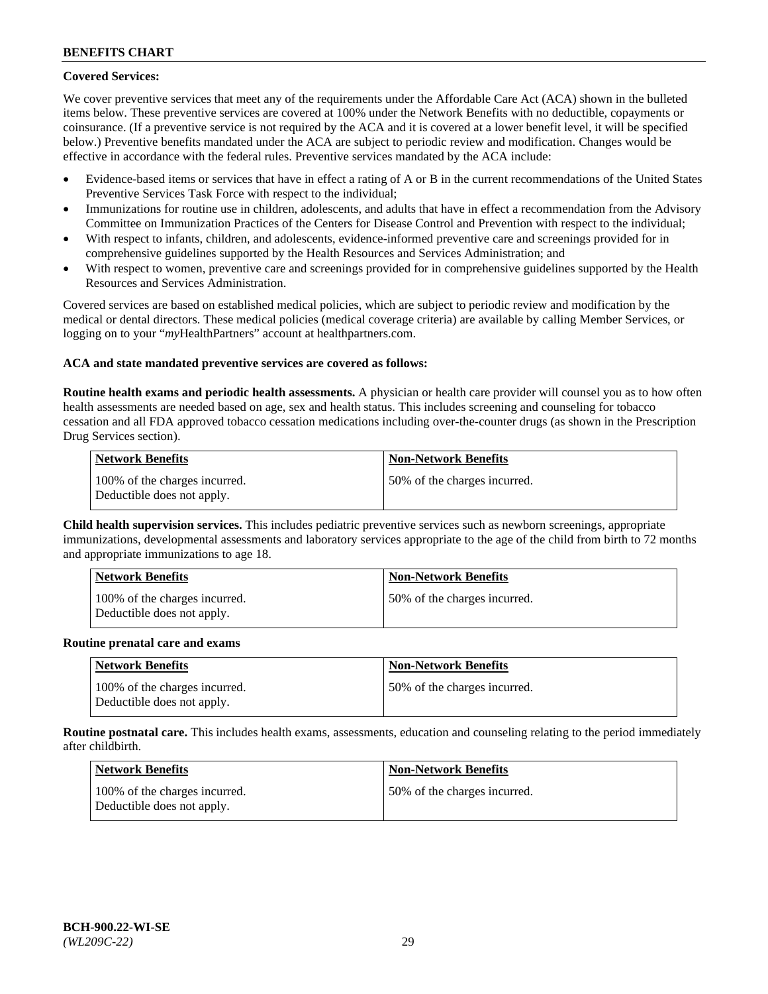## **Covered Services:**

We cover preventive services that meet any of the requirements under the Affordable Care Act (ACA) shown in the bulleted items below. These preventive services are covered at 100% under the Network Benefits with no deductible, copayments or coinsurance. (If a preventive service is not required by the ACA and it is covered at a lower benefit level, it will be specified below.) Preventive benefits mandated under the ACA are subject to periodic review and modification. Changes would be effective in accordance with the federal rules. Preventive services mandated by the ACA include:

- Evidence-based items or services that have in effect a rating of A or B in the current recommendations of the United States Preventive Services Task Force with respect to the individual;
- Immunizations for routine use in children, adolescents, and adults that have in effect a recommendation from the Advisory Committee on Immunization Practices of the Centers for Disease Control and Prevention with respect to the individual;
- With respect to infants, children, and adolescents, evidence-informed preventive care and screenings provided for in comprehensive guidelines supported by the Health Resources and Services Administration; and
- With respect to women, preventive care and screenings provided for in comprehensive guidelines supported by the Health Resources and Services Administration.

Covered services are based on established medical policies, which are subject to periodic review and modification by the medical or dental directors. These medical policies (medical coverage criteria) are available by calling Member Services, or logging on to your "*my*HealthPartners" account at [healthpartners.com.](https://www.healthpartners.com/hp/index.html)

## **ACA and state mandated preventive services are covered as follows:**

**Routine health exams and periodic health assessments.** A physician or health care provider will counsel you as to how often health assessments are needed based on age, sex and health status. This includes screening and counseling for tobacco cessation and all FDA approved tobacco cessation medications including over-the-counter drugs (as shown in the Prescription Drug Services section).

| Network Benefits                                            | <b>Non-Network Benefits</b>  |
|-------------------------------------------------------------|------------------------------|
| 100% of the charges incurred.<br>Deductible does not apply. | 50% of the charges incurred. |

**Child health supervision services.** This includes pediatric preventive services such as newborn screenings, appropriate immunizations, developmental assessments and laboratory services appropriate to the age of the child from birth to 72 months and appropriate immunizations to age 18.

| <b>Network Benefits</b>                                     | <b>Non-Network Benefits</b>  |
|-------------------------------------------------------------|------------------------------|
| 100% of the charges incurred.<br>Deductible does not apply. | 50% of the charges incurred. |

#### **Routine prenatal care and exams**

| <b>Network Benefits</b>                                     | <b>Non-Network Benefits</b>   |
|-------------------------------------------------------------|-------------------------------|
| 100% of the charges incurred.<br>Deductible does not apply. | 150% of the charges incurred. |

**Routine postnatal care.** This includes health exams, assessments, education and counseling relating to the period immediately after childbirth.

| Network Benefits                                            | <b>Non-Network Benefits</b>  |
|-------------------------------------------------------------|------------------------------|
| 100% of the charges incurred.<br>Deductible does not apply. | 50% of the charges incurred. |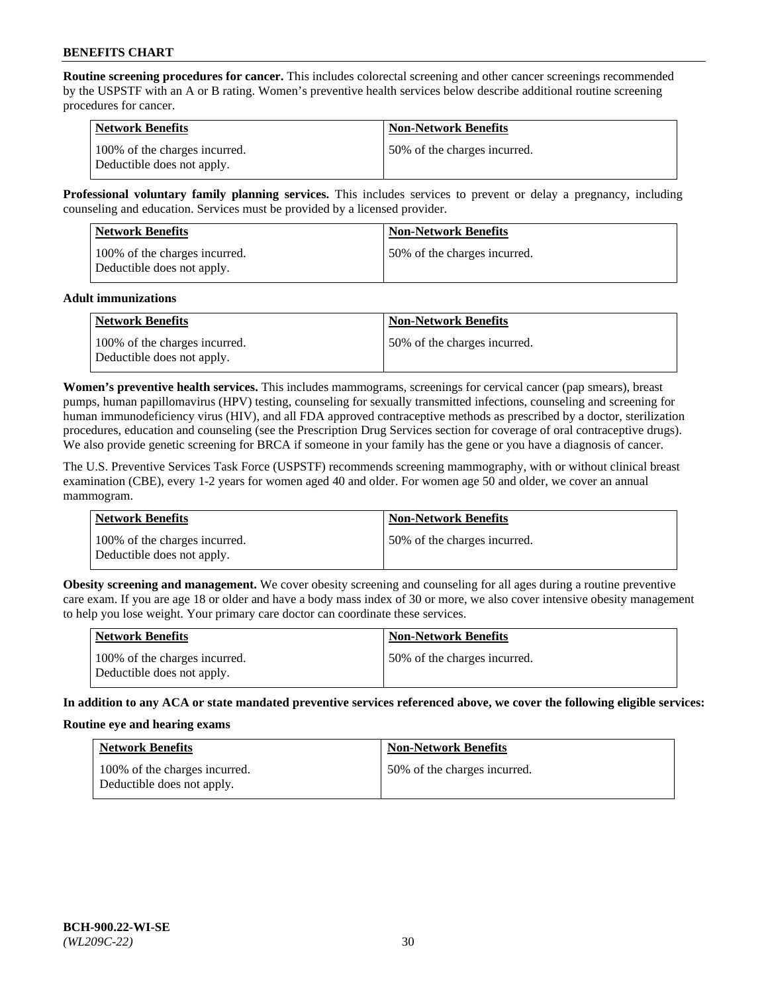**Routine screening procedures for cancer.** This includes colorectal screening and other cancer screenings recommended by the USPSTF with an A or B rating. Women's preventive health services below describe additional routine screening procedures for cancer.

| <b>Network Benefits</b>                                     | <b>Non-Network Benefits</b>   |
|-------------------------------------------------------------|-------------------------------|
| 100% of the charges incurred.<br>Deductible does not apply. | 150% of the charges incurred. |

**Professional voluntary family planning services.** This includes services to prevent or delay a pregnancy, including counseling and education. Services must be provided by a licensed provider.

| <b>Network Benefits</b>                                     | <b>Non-Network Benefits</b>  |
|-------------------------------------------------------------|------------------------------|
| 100% of the charges incurred.<br>Deductible does not apply. | 50% of the charges incurred. |

#### **Adult immunizations**

| <b>Network Benefits</b>                                     | <b>Non-Network Benefits</b>  |
|-------------------------------------------------------------|------------------------------|
| 100% of the charges incurred.<br>Deductible does not apply. | 50% of the charges incurred. |

**Women's preventive health services.** This includes mammograms, screenings for cervical cancer (pap smears), breast pumps, human papillomavirus (HPV) testing, counseling for sexually transmitted infections, counseling and screening for human immunodeficiency virus (HIV), and all FDA approved contraceptive methods as prescribed by a doctor, sterilization procedures, education and counseling (see the Prescription Drug Services section for coverage of oral contraceptive drugs). We also provide genetic screening for BRCA if someone in your family has the gene or you have a diagnosis of cancer.

The U.S. Preventive Services Task Force (USPSTF) recommends screening mammography, with or without clinical breast examination (CBE), every 1-2 years for women aged 40 and older. For women age 50 and older, we cover an annual mammogram.

| <b>Network Benefits</b>                                     | <b>Non-Network Benefits</b>   |
|-------------------------------------------------------------|-------------------------------|
| 100% of the charges incurred.<br>Deductible does not apply. | 150% of the charges incurred. |

**Obesity screening and management.** We cover obesity screening and counseling for all ages during a routine preventive care exam. If you are age 18 or older and have a body mass index of 30 or more, we also cover intensive obesity management to help you lose weight. Your primary care doctor can coordinate these services.

| Network Benefits                                            | <b>Non-Network Benefits</b>  |
|-------------------------------------------------------------|------------------------------|
| 100% of the charges incurred.<br>Deductible does not apply. | 50% of the charges incurred. |

**In addition to any ACA or state mandated preventive services referenced above, we cover the following eligible services:**

#### **Routine eye and hearing exams**

| <b>Network Benefits</b>                                     | <b>Non-Network Benefits</b>  |
|-------------------------------------------------------------|------------------------------|
| 100% of the charges incurred.<br>Deductible does not apply. | 50% of the charges incurred. |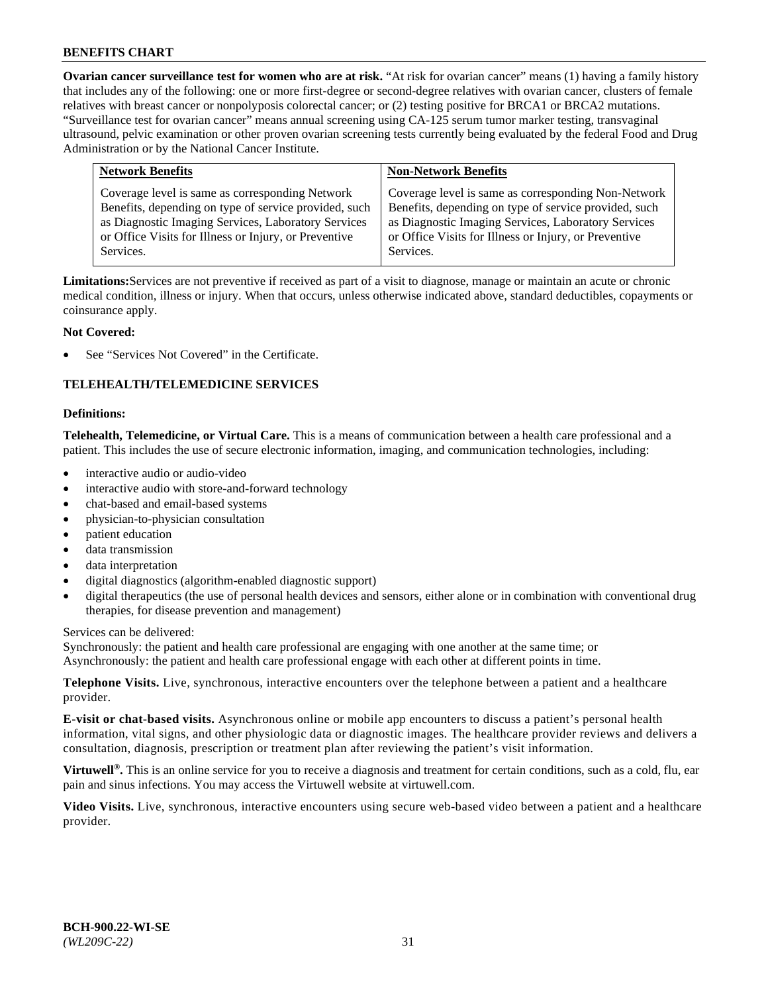**Ovarian cancer surveillance test for women who are at risk.** "At risk for ovarian cancer" means (1) having a family history that includes any of the following: one or more first-degree or second-degree relatives with ovarian cancer, clusters of female relatives with breast cancer or nonpolyposis colorectal cancer; or (2) testing positive for BRCA1 or BRCA2 mutations. "Surveillance test for ovarian cancer" means annual screening using CA-125 serum tumor marker testing, transvaginal ultrasound, pelvic examination or other proven ovarian screening tests currently being evaluated by the federal Food and Drug Administration or by the National Cancer Institute.

| <b>Network Benefits</b>                               | <b>Non-Network Benefits</b>                           |
|-------------------------------------------------------|-------------------------------------------------------|
| Coverage level is same as corresponding Network       | Coverage level is same as corresponding Non-Network   |
| Benefits, depending on type of service provided, such | Benefits, depending on type of service provided, such |
| as Diagnostic Imaging Services, Laboratory Services   | as Diagnostic Imaging Services, Laboratory Services   |
| or Office Visits for Illness or Injury, or Preventive | or Office Visits for Illness or Injury, or Preventive |
| Services.                                             | Services.                                             |

**Limitations:**Services are not preventive if received as part of a visit to diagnose, manage or maintain an acute or chronic medical condition, illness or injury. When that occurs, unless otherwise indicated above, standard deductibles, copayments or coinsurance apply.

## **Not Covered:**

See "Services Not Covered" in the Certificate.

## **TELEHEALTH/TELEMEDICINE SERVICES**

#### **Definitions:**

**Telehealth, Telemedicine, or Virtual Care.** This is a means of communication between a health care professional and a patient. This includes the use of secure electronic information, imaging, and communication technologies, including:

- interactive audio or audio-video
- interactive audio with store-and-forward technology
- chat-based and email-based systems
- physician-to-physician consultation
- patient education
- data transmission
- data interpretation
- digital diagnostics (algorithm-enabled diagnostic support)
- digital therapeutics (the use of personal health devices and sensors, either alone or in combination with conventional drug therapies, for disease prevention and management)

Services can be delivered:

Synchronously: the patient and health care professional are engaging with one another at the same time; or Asynchronously: the patient and health care professional engage with each other at different points in time.

**Telephone Visits.** Live, synchronous, interactive encounters over the telephone between a patient and a healthcare provider.

**E-visit or chat-based visits.** Asynchronous online or mobile app encounters to discuss a patient's personal health information, vital signs, and other physiologic data or diagnostic images. The healthcare provider reviews and delivers a consultation, diagnosis, prescription or treatment plan after reviewing the patient's visit information.

**Virtuwell<sup>®</sup>.** This is an online service for you to receive a diagnosis and treatment for certain conditions, such as a cold, flu, ear pain and sinus infections. You may access the Virtuwell website at [virtuwell.com.](https://www.virtuwell.com/)

**Video Visits.** Live, synchronous, interactive encounters using secure web-based video between a patient and a healthcare provider.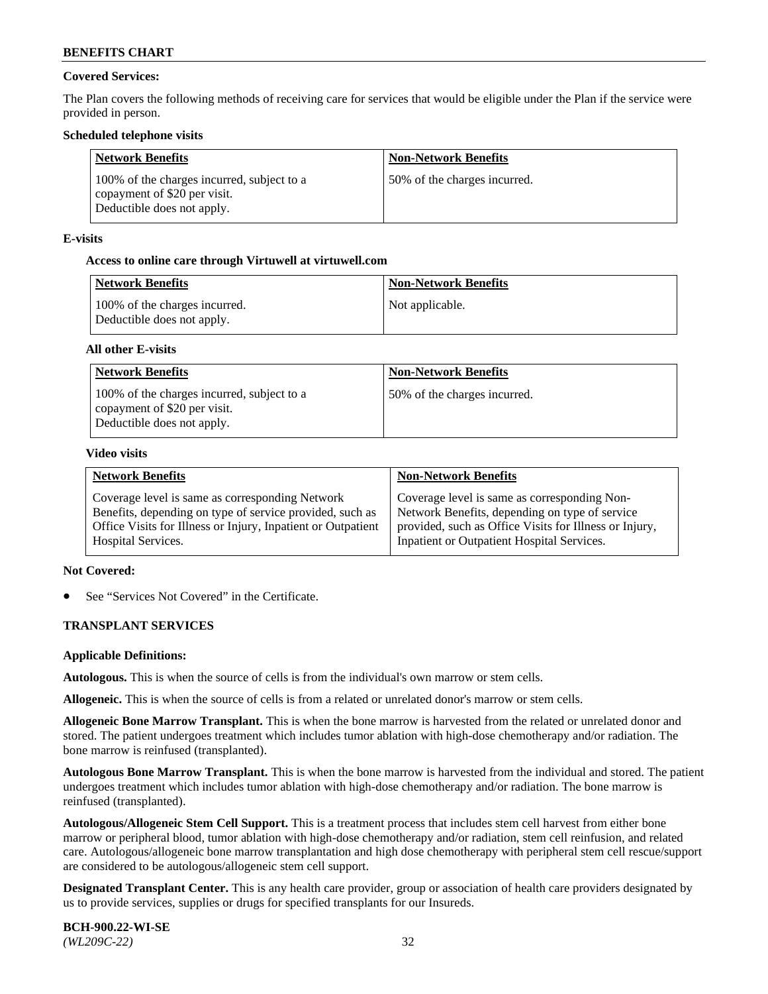## **Covered Services:**

The Plan covers the following methods of receiving care for services that would be eligible under the Plan if the service were provided in person.

### **Scheduled telephone visits**

| <b>Network Benefits</b>                                                                                  | <b>Non-Network Benefits</b>  |
|----------------------------------------------------------------------------------------------------------|------------------------------|
| 100% of the charges incurred, subject to a<br>copayment of \$20 per visit.<br>Deductible does not apply. | 50% of the charges incurred. |

### **E-visits**

### **Access to online care through Virtuwell at [virtuwell.com](https://www.virtuwell.com/)**

| Network Benefits                                            | <b>Non-Network Benefits</b> |
|-------------------------------------------------------------|-----------------------------|
| 100% of the charges incurred.<br>Deductible does not apply. | Not applicable.             |

### **All other E-visits**

| <b>Network Benefits</b>                                                                                  | <b>Non-Network Benefits</b>  |
|----------------------------------------------------------------------------------------------------------|------------------------------|
| 100% of the charges incurred, subject to a<br>copayment of \$20 per visit.<br>Deductible does not apply. | 50% of the charges incurred. |

#### **Video visits**

| <b>Network Benefits</b>                                      | <b>Non-Network Benefits</b>                            |
|--------------------------------------------------------------|--------------------------------------------------------|
| Coverage level is same as corresponding Network              | Coverage level is same as corresponding Non-           |
| Benefits, depending on type of service provided, such as     | Network Benefits, depending on type of service         |
| Office Visits for Illness or Injury, Inpatient or Outpatient | provided, such as Office Visits for Illness or Injury, |
| <b>Hospital Services.</b>                                    | Inpatient or Outpatient Hospital Services.             |

#### **Not Covered:**

See "Services Not Covered" in the Certificate.

## **TRANSPLANT SERVICES**

#### **Applicable Definitions:**

**Autologous.** This is when the source of cells is from the individual's own marrow or stem cells.

**Allogeneic.** This is when the source of cells is from a related or unrelated donor's marrow or stem cells.

**Allogeneic Bone Marrow Transplant.** This is when the bone marrow is harvested from the related or unrelated donor and stored. The patient undergoes treatment which includes tumor ablation with high-dose chemotherapy and/or radiation. The bone marrow is reinfused (transplanted).

**Autologous Bone Marrow Transplant.** This is when the bone marrow is harvested from the individual and stored. The patient undergoes treatment which includes tumor ablation with high-dose chemotherapy and/or radiation. The bone marrow is reinfused (transplanted).

**Autologous/Allogeneic Stem Cell Support.** This is a treatment process that includes stem cell harvest from either bone marrow or peripheral blood, tumor ablation with high-dose chemotherapy and/or radiation, stem cell reinfusion, and related care. Autologous/allogeneic bone marrow transplantation and high dose chemotherapy with peripheral stem cell rescue/support are considered to be autologous/allogeneic stem cell support.

**Designated Transplant Center.** This is any health care provider, group or association of health care providers designated by us to provide services, supplies or drugs for specified transplants for our Insureds.

**BCH-900.22-WI-SE**  *(WL209C-22)* 32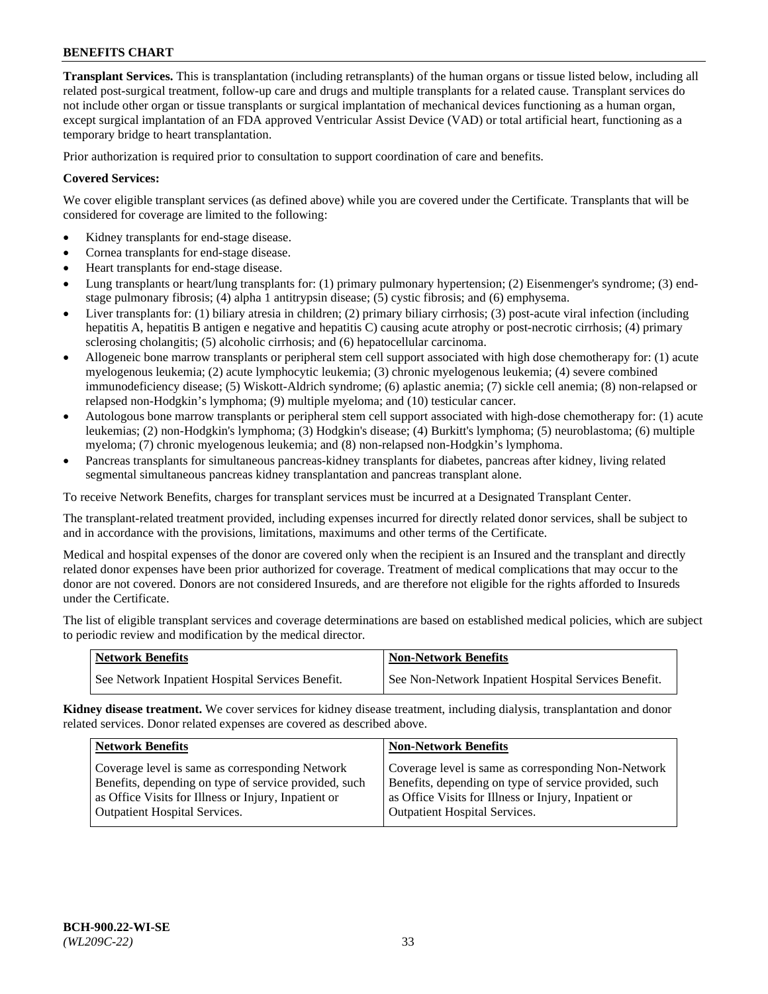**Transplant Services.** This is transplantation (including retransplants) of the human organs or tissue listed below, including all related post-surgical treatment, follow-up care and drugs and multiple transplants for a related cause. Transplant services do not include other organ or tissue transplants or surgical implantation of mechanical devices functioning as a human organ, except surgical implantation of an FDA approved Ventricular Assist Device (VAD) or total artificial heart, functioning as a temporary bridge to heart transplantation.

Prior authorization is required prior to consultation to support coordination of care and benefits.

## **Covered Services:**

We cover eligible transplant services (as defined above) while you are covered under the Certificate. Transplants that will be considered for coverage are limited to the following:

- Kidney transplants for end-stage disease.
- Cornea transplants for end-stage disease.
- Heart transplants for end-stage disease.
- Lung transplants or heart/lung transplants for: (1) primary pulmonary hypertension; (2) Eisenmenger's syndrome; (3) endstage pulmonary fibrosis; (4) alpha 1 antitrypsin disease; (5) cystic fibrosis; and (6) emphysema.
- Liver transplants for: (1) biliary atresia in children; (2) primary biliary cirrhosis; (3) post-acute viral infection (including hepatitis A, hepatitis B antigen e negative and hepatitis C) causing acute atrophy or post-necrotic cirrhosis; (4) primary sclerosing cholangitis; (5) alcoholic cirrhosis; and (6) hepatocellular carcinoma.
- Allogeneic bone marrow transplants or peripheral stem cell support associated with high dose chemotherapy for: (1) acute myelogenous leukemia; (2) acute lymphocytic leukemia; (3) chronic myelogenous leukemia; (4) severe combined immunodeficiency disease; (5) Wiskott-Aldrich syndrome; (6) aplastic anemia; (7) sickle cell anemia; (8) non-relapsed or relapsed non-Hodgkin's lymphoma; (9) multiple myeloma; and (10) testicular cancer.
- Autologous bone marrow transplants or peripheral stem cell support associated with high-dose chemotherapy for: (1) acute leukemias; (2) non-Hodgkin's lymphoma; (3) Hodgkin's disease; (4) Burkitt's lymphoma; (5) neuroblastoma; (6) multiple myeloma; (7) chronic myelogenous leukemia; and (8) non-relapsed non-Hodgkin's lymphoma.
- Pancreas transplants for simultaneous pancreas-kidney transplants for diabetes, pancreas after kidney, living related segmental simultaneous pancreas kidney transplantation and pancreas transplant alone.

To receive Network Benefits, charges for transplant services must be incurred at a Designated Transplant Center.

The transplant-related treatment provided, including expenses incurred for directly related donor services, shall be subject to and in accordance with the provisions, limitations, maximums and other terms of the Certificate.

Medical and hospital expenses of the donor are covered only when the recipient is an Insured and the transplant and directly related donor expenses have been prior authorized for coverage. Treatment of medical complications that may occur to the donor are not covered. Donors are not considered Insureds, and are therefore not eligible for the rights afforded to Insureds under the Certificate.

The list of eligible transplant services and coverage determinations are based on established medical policies, which are subject to periodic review and modification by the medical director.

| <b>Network Benefits</b>                          | <b>Non-Network Benefits</b>                          |
|--------------------------------------------------|------------------------------------------------------|
| See Network Inpatient Hospital Services Benefit. | See Non-Network Inpatient Hospital Services Benefit. |

**Kidney disease treatment.** We cover services for kidney disease treatment, including dialysis, transplantation and donor related services. Donor related expenses are covered as described above.

| <b>Network Benefits</b>                               | <b>Non-Network Benefits</b>                           |
|-------------------------------------------------------|-------------------------------------------------------|
| Coverage level is same as corresponding Network       | Coverage level is same as corresponding Non-Network   |
| Benefits, depending on type of service provided, such | Benefits, depending on type of service provided, such |
| as Office Visits for Illness or Injury, Inpatient or  | as Office Visits for Illness or Injury, Inpatient or  |
| <b>Outpatient Hospital Services.</b>                  | <b>Outpatient Hospital Services.</b>                  |